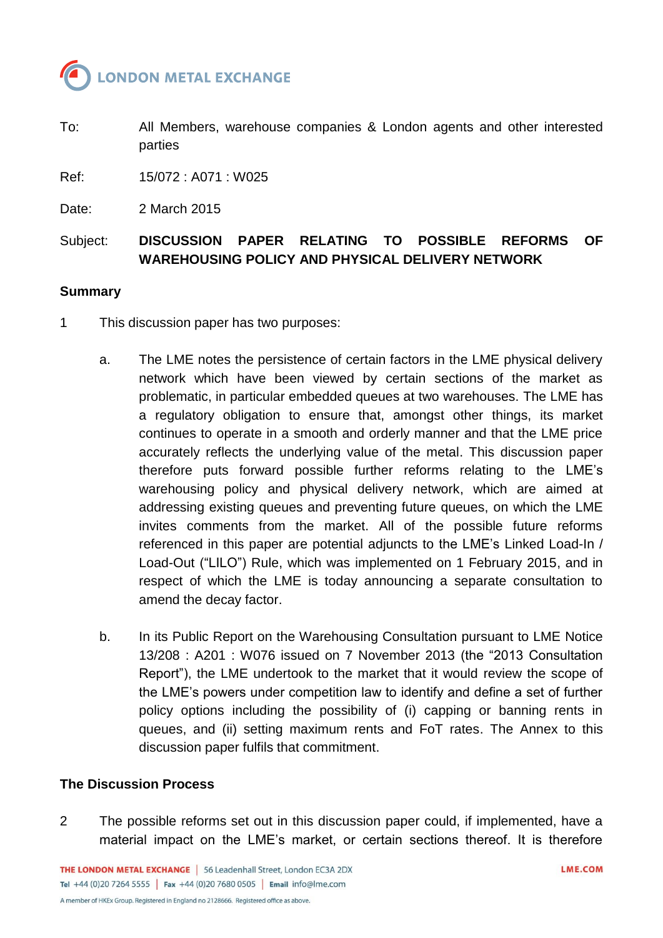

To: All Members, warehouse companies & London agents and other interested parties

Ref: 15/072 : A071 : W025

Date: 2 March 2015

# Subject: **DISCUSSION PAPER RELATING TO POSSIBLE REFORMS OF WAREHOUSING POLICY AND PHYSICAL DELIVERY NETWORK**

#### **Summary**

- 1 This discussion paper has two purposes:
	- a. The LME notes the persistence of certain factors in the LME physical delivery network which have been viewed by certain sections of the market as problematic, in particular embedded queues at two warehouses. The LME has a regulatory obligation to ensure that, amongst other things, its market continues to operate in a smooth and orderly manner and that the LME price accurately reflects the underlying value of the metal. This discussion paper therefore puts forward possible further reforms relating to the LME's warehousing policy and physical delivery network, which are aimed at addressing existing queues and preventing future queues, on which the LME invites comments from the market. All of the possible future reforms referenced in this paper are potential adjuncts to the LME's Linked Load-In / Load-Out ("LILO") Rule, which was implemented on 1 February 2015, and in respect of which the LME is today announcing a separate consultation to amend the decay factor.
	- b. In its Public Report on the Warehousing Consultation pursuant to LME Notice 13/208 : A201 : W076 issued on 7 November 2013 (the "2013 Consultation Report"), the LME undertook to the market that it would review the scope of the LME's powers under competition law to identify and define a set of further policy options including the possibility of (i) capping or banning rents in queues, and (ii) setting maximum rents and FoT rates. The Annex to this discussion paper fulfils that commitment.

#### **The Discussion Process**

2 The possible reforms set out in this discussion paper could, if implemented, have a material impact on the LME's market, or certain sections thereof. It is therefore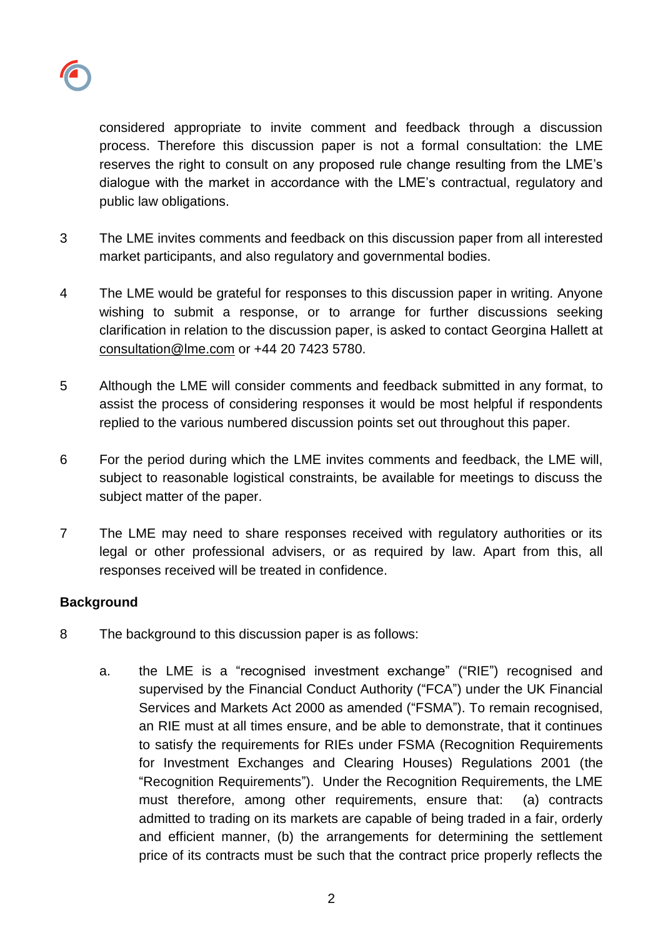

considered appropriate to invite comment and feedback through a discussion process. Therefore this discussion paper is not a formal consultation: the LME reserves the right to consult on any proposed rule change resulting from the LME's dialogue with the market in accordance with the LME's contractual, regulatory and public law obligations.

- 3 The LME invites comments and feedback on this discussion paper from all interested market participants, and also regulatory and governmental bodies.
- 4 The LME would be grateful for responses to this discussion paper in writing. Anyone wishing to submit a response, or to arrange for further discussions seeking clarification in relation to the discussion paper, is asked to contact Georgina Hallett at [consultation@lme.com](mailto:consultation@lme.com) or +44 20 7423 5780.
- 5 Although the LME will consider comments and feedback submitted in any format, to assist the process of considering responses it would be most helpful if respondents replied to the various numbered discussion points set out throughout this paper.
- 6 For the period during which the LME invites comments and feedback, the LME will, subject to reasonable logistical constraints, be available for meetings to discuss the subject matter of the paper.
- 7 The LME may need to share responses received with regulatory authorities or its legal or other professional advisers, or as required by law. Apart from this, all responses received will be treated in confidence.

## **Background**

- 8 The background to this discussion paper is as follows:
	- a. the LME is a "recognised investment exchange" ("RIE") recognised and supervised by the Financial Conduct Authority ("FCA") under the UK Financial Services and Markets Act 2000 as amended ("FSMA"). To remain recognised, an RIE must at all times ensure, and be able to demonstrate, that it continues to satisfy the requirements for RIEs under FSMA (Recognition Requirements for Investment Exchanges and Clearing Houses) Regulations 2001 (the "Recognition Requirements"). Under the Recognition Requirements, the LME must therefore, among other requirements, ensure that: (a) contracts admitted to trading on its markets are capable of being traded in a fair, orderly and efficient manner, (b) the arrangements for determining the settlement price of its contracts must be such that the contract price properly reflects the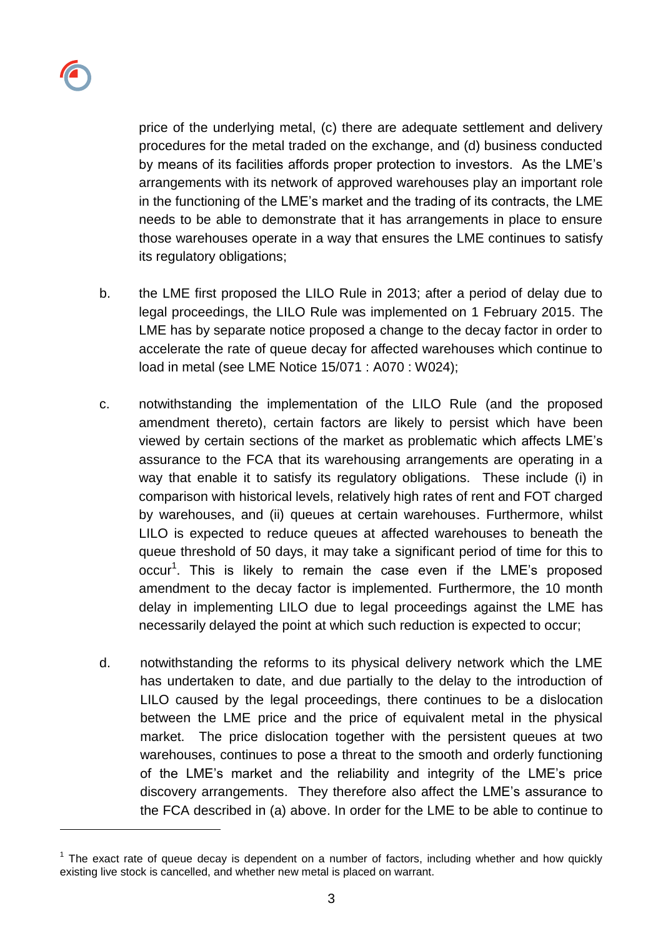

l

price of the underlying metal, (c) there are adequate settlement and delivery procedures for the metal traded on the exchange, and (d) business conducted by means of its facilities affords proper protection to investors. As the LME's arrangements with its network of approved warehouses play an important role in the functioning of the LME's market and the trading of its contracts, the LME needs to be able to demonstrate that it has arrangements in place to ensure those warehouses operate in a way that ensures the LME continues to satisfy its regulatory obligations;

- b. the LME first proposed the LILO Rule in 2013; after a period of delay due to legal proceedings, the LILO Rule was implemented on 1 February 2015. The LME has by separate notice proposed a change to the decay factor in order to accelerate the rate of queue decay for affected warehouses which continue to load in metal (see LME Notice 15/071 : A070 : W024);
- c. notwithstanding the implementation of the LILO Rule (and the proposed amendment thereto), certain factors are likely to persist which have been viewed by certain sections of the market as problematic which affects LME's assurance to the FCA that its warehousing arrangements are operating in a way that enable it to satisfy its regulatory obligations. These include (i) in comparison with historical levels, relatively high rates of rent and FOT charged by warehouses, and (ii) queues at certain warehouses. Furthermore, whilst LILO is expected to reduce queues at affected warehouses to beneath the queue threshold of 50 days, it may take a significant period of time for this to occur<sup>1</sup>. This is likely to remain the case even if the LME's proposed amendment to the decay factor is implemented. Furthermore, the 10 month delay in implementing LILO due to legal proceedings against the LME has necessarily delayed the point at which such reduction is expected to occur;
- d. notwithstanding the reforms to its physical delivery network which the LME has undertaken to date, and due partially to the delay to the introduction of LILO caused by the legal proceedings, there continues to be a dislocation between the LME price and the price of equivalent metal in the physical market. The price dislocation together with the persistent queues at two warehouses, continues to pose a threat to the smooth and orderly functioning of the LME's market and the reliability and integrity of the LME's price discovery arrangements. They therefore also affect the LME's assurance to the FCA described in (a) above. In order for the LME to be able to continue to

 $1$  The exact rate of queue decay is dependent on a number of factors, including whether and how quickly existing live stock is cancelled, and whether new metal is placed on warrant.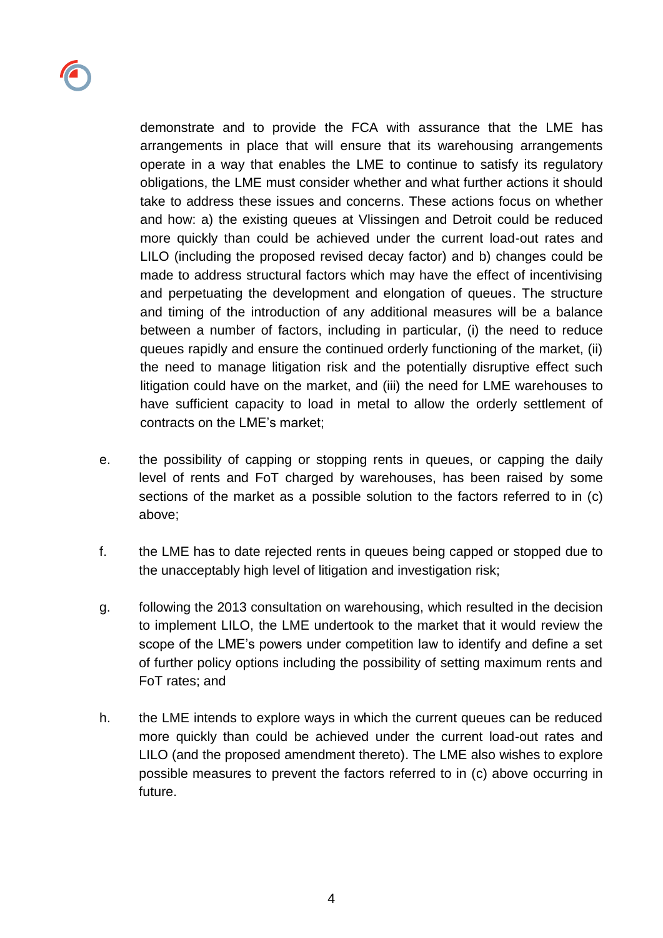

arrangements in place that will ensure that its warehousing arrangements operate in a way that enables the LME to continue to satisfy its regulatory obligations, the LME must consider whether and what further actions it should take to address these issues and concerns. These actions focus on whether and how: a) the existing queues at Vlissingen and Detroit could be reduced more quickly than could be achieved under the current load-out rates and LILO (including the proposed revised decay factor) and b) changes could be made to address structural factors which may have the effect of incentivising and perpetuating the development and elongation of queues. The structure and timing of the introduction of any additional measures will be a balance between a number of factors, including in particular, (i) the need to reduce queues rapidly and ensure the continued orderly functioning of the market, (ii) the need to manage litigation risk and the potentially disruptive effect such litigation could have on the market, and (iii) the need for LME warehouses to have sufficient capacity to load in metal to allow the orderly settlement of contracts on the LME's market;

- e. the possibility of capping or stopping rents in queues, or capping the daily level of rents and FoT charged by warehouses, has been raised by some sections of the market as a possible solution to the factors referred to in (c) above;
- f. the LME has to date rejected rents in queues being capped or stopped due to the unacceptably high level of litigation and investigation risk;
- g. following the 2013 consultation on warehousing, which resulted in the decision to implement LILO, the LME undertook to the market that it would review the scope of the LME's powers under competition law to identify and define a set of further policy options including the possibility of setting maximum rents and FoT rates; and
- h. the LME intends to explore ways in which the current queues can be reduced more quickly than could be achieved under the current load-out rates and LILO (and the proposed amendment thereto). The LME also wishes to explore possible measures to prevent the factors referred to in (c) above occurring in future.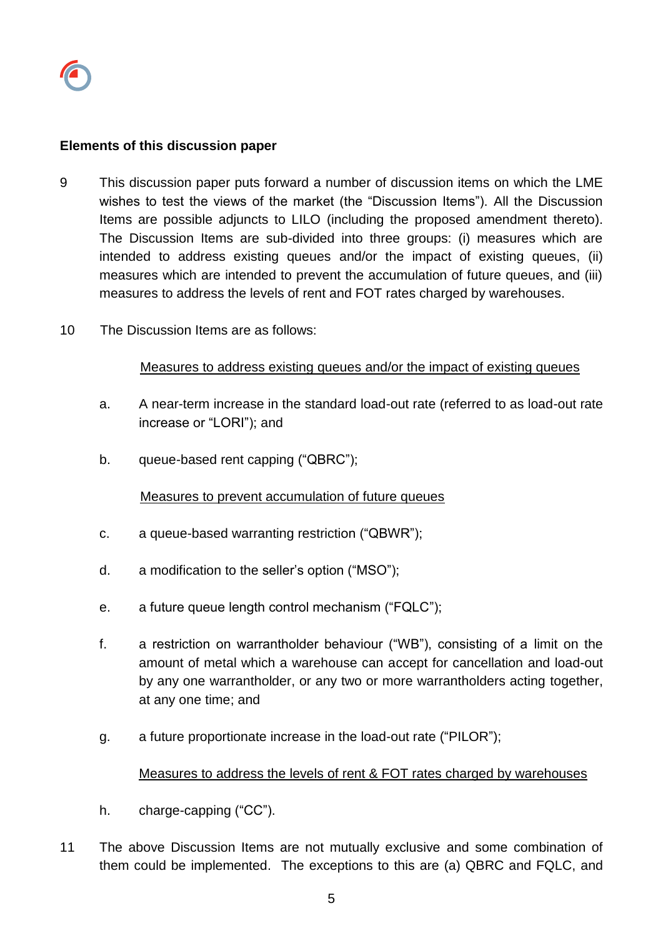#### **Elements of this discussion paper**

- 9 This discussion paper puts forward a number of discussion items on which the LME wishes to test the views of the market (the "Discussion Items"). All the Discussion Items are possible adjuncts to LILO (including the proposed amendment thereto). The Discussion Items are sub-divided into three groups: (i) measures which are intended to address existing queues and/or the impact of existing queues, (ii) measures which are intended to prevent the accumulation of future queues, and (iii) measures to address the levels of rent and FOT rates charged by warehouses.
- 10 The Discussion Items are as follows:

#### Measures to address existing queues and/or the impact of existing queues

- a. A near-term increase in the standard load-out rate (referred to as load-out rate increase or "LORI"); and
- b. queue-based rent capping ("QBRC");

#### Measures to prevent accumulation of future queues

- c. a queue-based warranting restriction ("QBWR");
- d. a modification to the seller's option ("MSO");
- e. a future queue length control mechanism ("FQLC");
- f. a restriction on warrantholder behaviour ("WB"), consisting of a limit on the amount of metal which a warehouse can accept for cancellation and load-out by any one warrantholder, or any two or more warrantholders acting together, at any one time; and
- g. a future proportionate increase in the load-out rate ("PILOR");

#### Measures to address the levels of rent & FOT rates charged by warehouses

- h. charge-capping ("CC").
- 11 The above Discussion Items are not mutually exclusive and some combination of them could be implemented. The exceptions to this are (a) QBRC and FQLC, and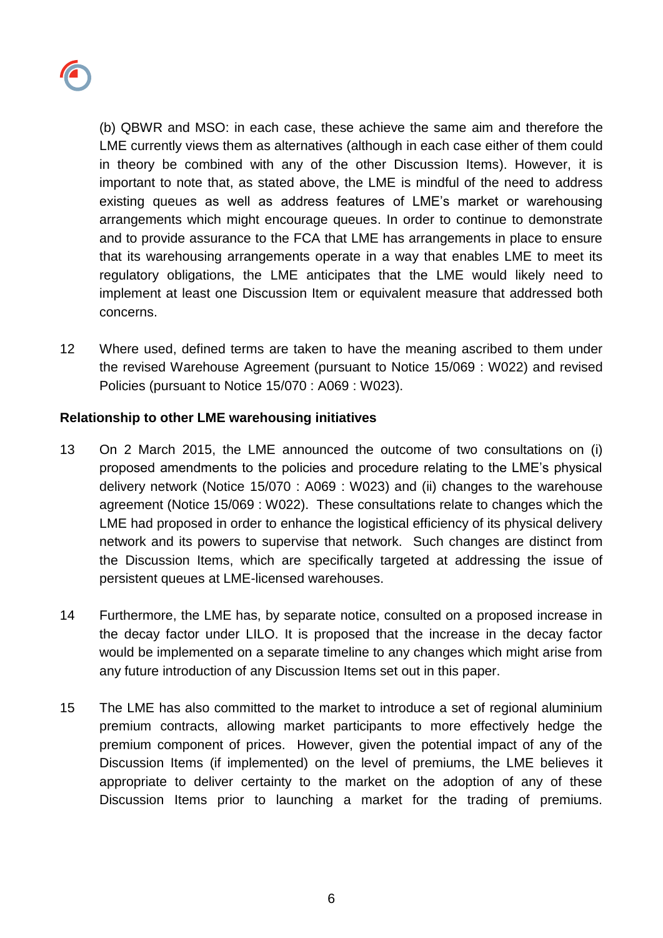

(b) QBWR and MSO: in each case, these achieve the same aim and therefore the LME currently views them as alternatives (although in each case either of them could in theory be combined with any of the other Discussion Items). However, it is important to note that, as stated above, the LME is mindful of the need to address existing queues as well as address features of LME's market or warehousing arrangements which might encourage queues. In order to continue to demonstrate and to provide assurance to the FCA that LME has arrangements in place to ensure that its warehousing arrangements operate in a way that enables LME to meet its regulatory obligations, the LME anticipates that the LME would likely need to implement at least one Discussion Item or equivalent measure that addressed both concerns.

12 Where used, defined terms are taken to have the meaning ascribed to them under the revised Warehouse Agreement (pursuant to Notice 15/069 : W022) and revised Policies (pursuant to Notice 15/070 : A069 : W023).

### **Relationship to other LME warehousing initiatives**

- 13 On 2 March 2015, the LME announced the outcome of two consultations on (i) proposed amendments to the policies and procedure relating to the LME's physical delivery network (Notice 15/070 : A069 : W023) and (ii) changes to the warehouse agreement (Notice 15/069 : W022). These consultations relate to changes which the LME had proposed in order to enhance the logistical efficiency of its physical delivery network and its powers to supervise that network. Such changes are distinct from the Discussion Items, which are specifically targeted at addressing the issue of persistent queues at LME-licensed warehouses.
- 14 Furthermore, the LME has, by separate notice, consulted on a proposed increase in the decay factor under LILO. It is proposed that the increase in the decay factor would be implemented on a separate timeline to any changes which might arise from any future introduction of any Discussion Items set out in this paper.
- 15 The LME has also committed to the market to introduce a set of regional aluminium premium contracts, allowing market participants to more effectively hedge the premium component of prices. However, given the potential impact of any of the Discussion Items (if implemented) on the level of premiums, the LME believes it appropriate to deliver certainty to the market on the adoption of any of these Discussion Items prior to launching a market for the trading of premiums.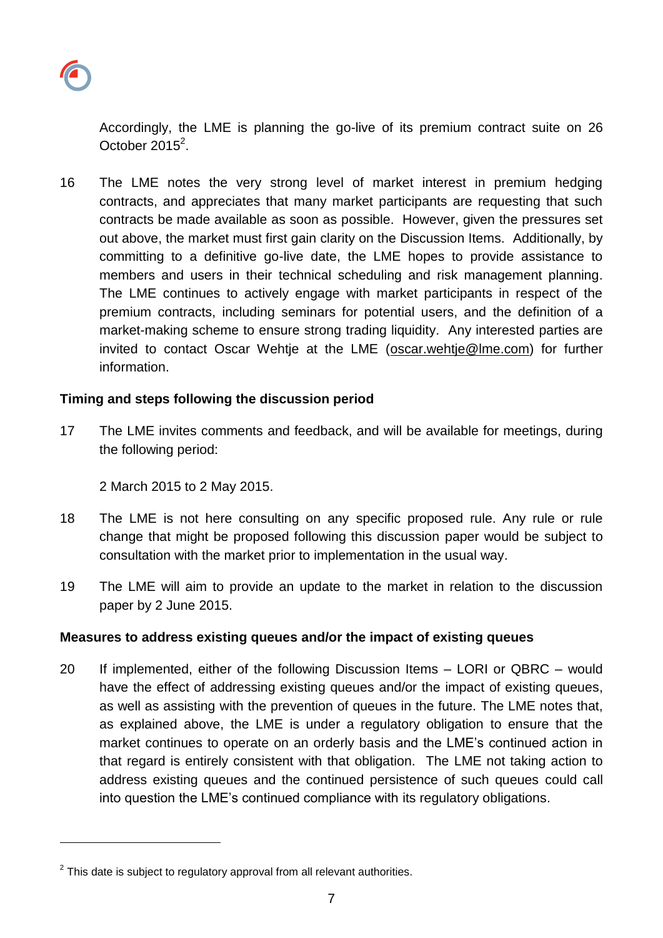

l

Accordingly, the LME is planning the go-live of its premium contract suite on 26 October 2015 $^2$ .

16 The LME notes the very strong level of market interest in premium hedging contracts, and appreciates that many market participants are requesting that such contracts be made available as soon as possible. However, given the pressures set out above, the market must first gain clarity on the Discussion Items. Additionally, by committing to a definitive go-live date, the LME hopes to provide assistance to members and users in their technical scheduling and risk management planning. The LME continues to actively engage with market participants in respect of the premium contracts, including seminars for potential users, and the definition of a market-making scheme to ensure strong trading liquidity. Any interested parties are invited to contact Oscar Wehtie at the LME (oscar.wehtie@lme.com) for further information.

#### **Timing and steps following the discussion period**

17 The LME invites comments and feedback, and will be available for meetings, during the following period:

2 March 2015 to 2 May 2015.

- 18 The LME is not here consulting on any specific proposed rule. Any rule or rule change that might be proposed following this discussion paper would be subject to consultation with the market prior to implementation in the usual way.
- 19 The LME will aim to provide an update to the market in relation to the discussion paper by 2 June 2015.

#### **Measures to address existing queues and/or the impact of existing queues**

20 If implemented, either of the following Discussion Items – LORI or QBRC – would have the effect of addressing existing queues and/or the impact of existing queues, as well as assisting with the prevention of queues in the future. The LME notes that, as explained above, the LME is under a regulatory obligation to ensure that the market continues to operate on an orderly basis and the LME's continued action in that regard is entirely consistent with that obligation. The LME not taking action to address existing queues and the continued persistence of such queues could call into question the LME's continued compliance with its regulatory obligations.

 $2$  This date is subject to regulatory approval from all relevant authorities.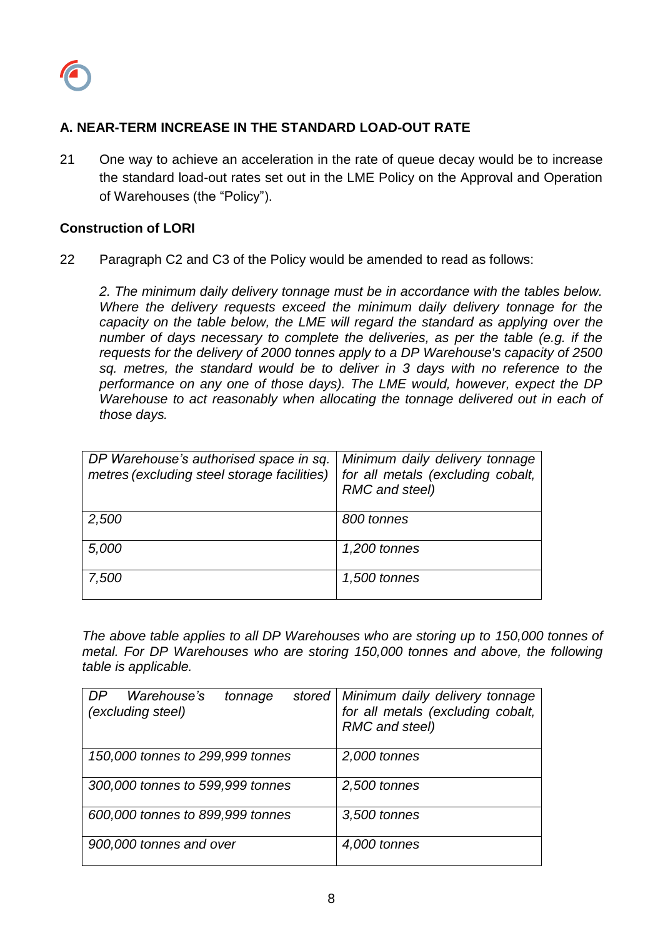

## **A. NEAR-TERM INCREASE IN THE STANDARD LOAD-OUT RATE**

21 One way to achieve an acceleration in the rate of queue decay would be to increase the standard load-out rates set out in the LME Policy on the Approval and Operation of Warehouses (the "Policy").

#### **Construction of LORI**

22 Paragraph C2 and C3 of the Policy would be amended to read as follows:

*2. The minimum daily delivery tonnage must be in accordance with the tables below. Where the delivery requests exceed the minimum daily delivery tonnage for the capacity on the table below, the LME will regard the standard as applying over the number of days necessary to complete the deliveries, as per the table (e.g. if the requests for the delivery of 2000 tonnes apply to a DP Warehouse's capacity of 2500 sq. metres, the standard would be to deliver in 3 days with no reference to the performance on any one of those days). The LME would, however, expect the DP Warehouse to act reasonably when allocating the tonnage delivered out in each of those days.* 

| DP Warehouse's authorised space in sq.<br>metres (excluding steel storage facilities) | Minimum daily delivery tonnage<br>for all metals (excluding cobalt,<br>RMC and steel) |
|---------------------------------------------------------------------------------------|---------------------------------------------------------------------------------------|
| 2,500                                                                                 | 800 tonnes                                                                            |
| 5,000                                                                                 | 1,200 tonnes                                                                          |
| 7,500                                                                                 | 1,500 tonnes                                                                          |

*The above table applies to all DP Warehouses who are storing up to 150,000 tonnes of metal. For DP Warehouses who are storing 150,000 tonnes and above, the following table is applicable.*

| Warehouse's<br>DP.<br>stored<br>tonnage<br>(excluding steel) | Minimum daily delivery tonnage<br>for all metals (excluding cobalt,<br>RMC and steel) |
|--------------------------------------------------------------|---------------------------------------------------------------------------------------|
| 150,000 tonnes to 299,999 tonnes                             | 2,000 tonnes                                                                          |
| 300,000 tonnes to 599,999 tonnes                             | 2,500 tonnes                                                                          |
| 600,000 tonnes to 899,999 tonnes                             | 3,500 tonnes                                                                          |
| 900,000 tonnes and over                                      | 4,000 tonnes                                                                          |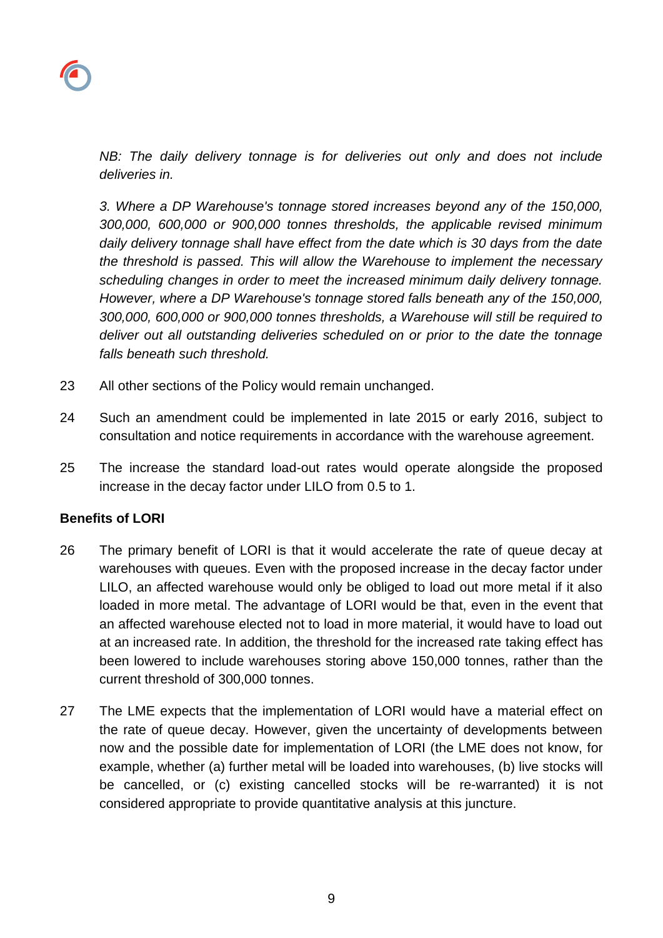*NB: The daily delivery tonnage is for deliveries out only and does not include deliveries in.*

*3. Where a DP Warehouse's tonnage stored increases beyond any of the 150,000, 300,000, 600,000 or 900,000 tonnes thresholds, the applicable revised minimum daily delivery tonnage shall have effect from the date which is 30 days from the date the threshold is passed. This will allow the Warehouse to implement the necessary scheduling changes in order to meet the increased minimum daily delivery tonnage. However, where a DP Warehouse's tonnage stored falls beneath any of the 150,000, 300,000, 600,000 or 900,000 tonnes thresholds, a Warehouse will still be required to deliver out all outstanding deliveries scheduled on or prior to the date the tonnage falls beneath such threshold.*

- 23 All other sections of the Policy would remain unchanged.
- 24 Such an amendment could be implemented in late 2015 or early 2016, subject to consultation and notice requirements in accordance with the warehouse agreement.
- 25 The increase the standard load-out rates would operate alongside the proposed increase in the decay factor under LILO from 0.5 to 1.

#### **Benefits of LORI**

- 26 The primary benefit of LORI is that it would accelerate the rate of queue decay at warehouses with queues. Even with the proposed increase in the decay factor under LILO, an affected warehouse would only be obliged to load out more metal if it also loaded in more metal. The advantage of LORI would be that, even in the event that an affected warehouse elected not to load in more material, it would have to load out at an increased rate. In addition, the threshold for the increased rate taking effect has been lowered to include warehouses storing above 150,000 tonnes, rather than the current threshold of 300,000 tonnes.
- 27 The LME expects that the implementation of LORI would have a material effect on the rate of queue decay. However, given the uncertainty of developments between now and the possible date for implementation of LORI (the LME does not know, for example, whether (a) further metal will be loaded into warehouses, (b) live stocks will be cancelled, or (c) existing cancelled stocks will be re-warranted) it is not considered appropriate to provide quantitative analysis at this juncture.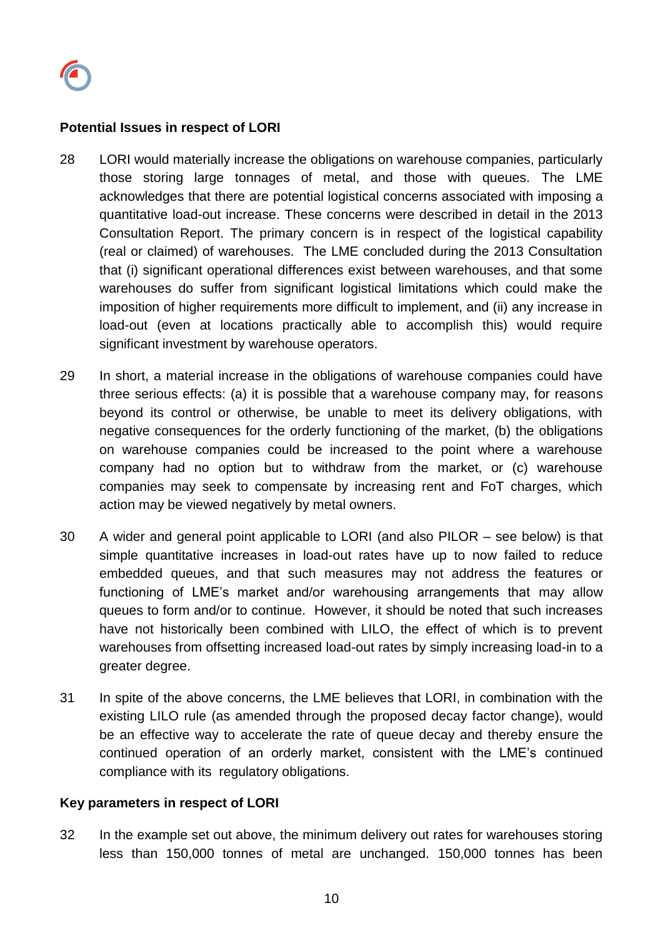

#### **Potential Issues in respect of LORI**

- 28 LORI would materially increase the obligations on warehouse companies, particularly those storing large tonnages of metal, and those with queues. The LME acknowledges that there are potential logistical concerns associated with imposing a quantitative load-out increase. These concerns were described in detail in the 2013 Consultation Report. The primary concern is in respect of the logistical capability (real or claimed) of warehouses. The LME concluded during the 2013 Consultation that (i) significant operational differences exist between warehouses, and that some warehouses do suffer from significant logistical limitations which could make the imposition of higher requirements more difficult to implement, and (ii) any increase in load-out (even at locations practically able to accomplish this) would require significant investment by warehouse operators.
- 29 In short, a material increase in the obligations of warehouse companies could have three serious effects: (a) it is possible that a warehouse company may, for reasons beyond its control or otherwise, be unable to meet its delivery obligations, with negative consequences for the orderly functioning of the market, (b) the obligations on warehouse companies could be increased to the point where a warehouse company had no option but to withdraw from the market, or (c) warehouse companies may seek to compensate by increasing rent and FoT charges, which action may be viewed negatively by metal owners.
- 30 A wider and general point applicable to LORI (and also PILOR see below) is that simple quantitative increases in load-out rates have up to now failed to reduce embedded queues, and that such measures may not address the features or functioning of LME's market and/or warehousing arrangements that may allow queues to form and/or to continue. However, it should be noted that such increases have not historically been combined with LILO, the effect of which is to prevent warehouses from offsetting increased load-out rates by simply increasing load-in to a greater degree.
- 31 In spite of the above concerns, the LME believes that LORI, in combination with the existing LILO rule (as amended through the proposed decay factor change), would be an effective way to accelerate the rate of queue decay and thereby ensure the continued operation of an orderly market, consistent with the LME's continued compliance with its regulatory obligations.

#### **Key parameters in respect of LORI**

32 In the example set out above, the minimum delivery out rates for warehouses storing less than 150,000 tonnes of metal are unchanged. 150,000 tonnes has been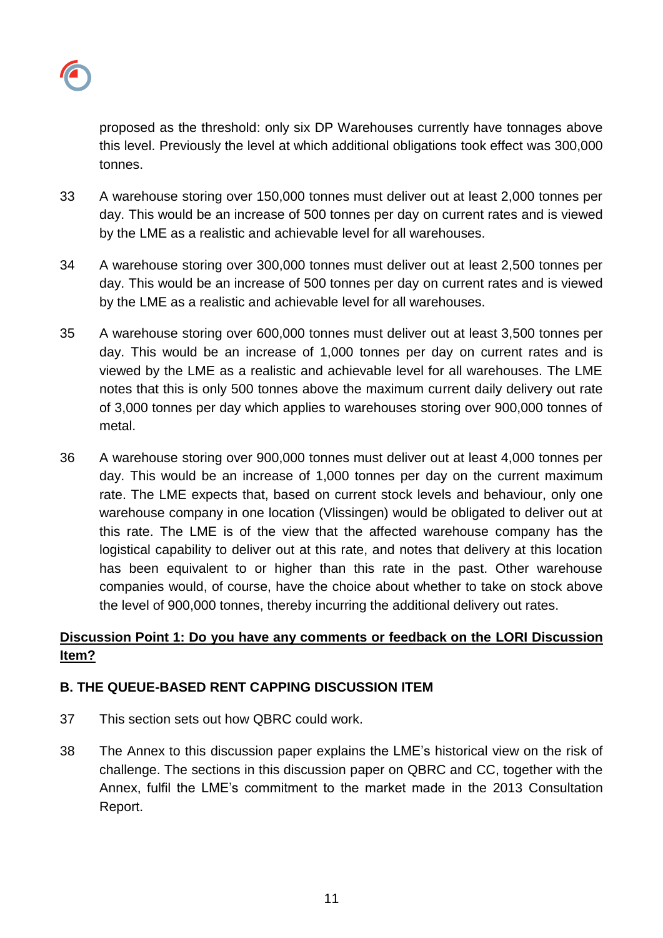

proposed as the threshold: only six DP Warehouses currently have tonnages above this level. Previously the level at which additional obligations took effect was 300,000 tonnes.

- 33 A warehouse storing over 150,000 tonnes must deliver out at least 2,000 tonnes per day. This would be an increase of 500 tonnes per day on current rates and is viewed by the LME as a realistic and achievable level for all warehouses.
- 34 A warehouse storing over 300,000 tonnes must deliver out at least 2,500 tonnes per day. This would be an increase of 500 tonnes per day on current rates and is viewed by the LME as a realistic and achievable level for all warehouses.
- 35 A warehouse storing over 600,000 tonnes must deliver out at least 3,500 tonnes per day. This would be an increase of 1,000 tonnes per day on current rates and is viewed by the LME as a realistic and achievable level for all warehouses. The LME notes that this is only 500 tonnes above the maximum current daily delivery out rate of 3,000 tonnes per day which applies to warehouses storing over 900,000 tonnes of metal.
- 36 A warehouse storing over 900,000 tonnes must deliver out at least 4,000 tonnes per day. This would be an increase of 1,000 tonnes per day on the current maximum rate. The LME expects that, based on current stock levels and behaviour, only one warehouse company in one location (Vlissingen) would be obligated to deliver out at this rate. The LME is of the view that the affected warehouse company has the logistical capability to deliver out at this rate, and notes that delivery at this location has been equivalent to or higher than this rate in the past. Other warehouse companies would, of course, have the choice about whether to take on stock above the level of 900,000 tonnes, thereby incurring the additional delivery out rates.

# **Discussion Point 1: Do you have any comments or feedback on the LORI Discussion Item?**

## **B. THE QUEUE-BASED RENT CAPPING DISCUSSION ITEM**

- 37 This section sets out how QBRC could work.
- 38 The Annex to this discussion paper explains the LME's historical view on the risk of challenge. The sections in this discussion paper on QBRC and CC, together with the Annex, fulfil the LME's commitment to the market made in the 2013 Consultation Report.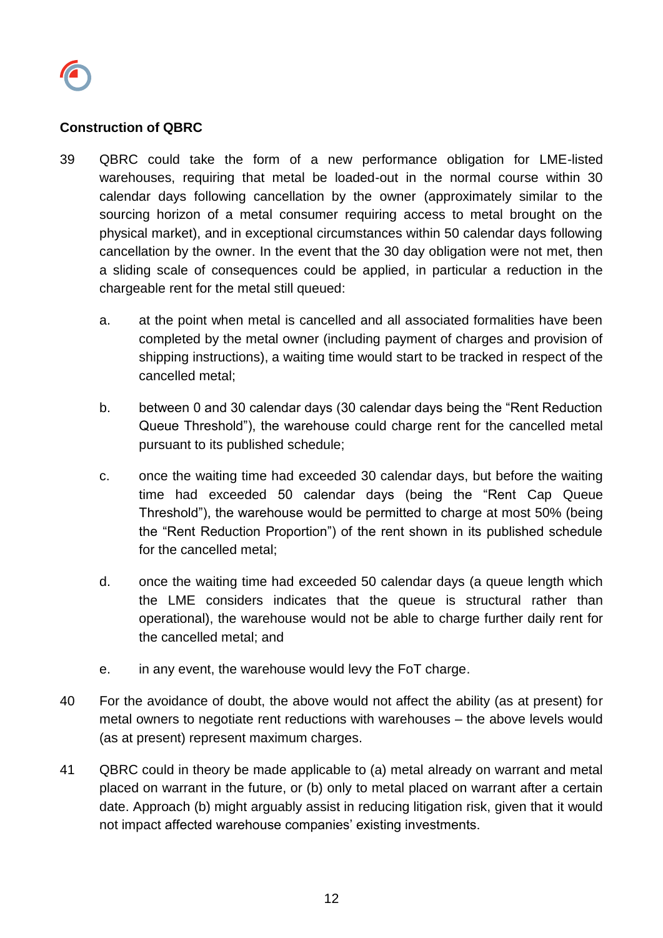

### **Construction of QBRC**

- 39 QBRC could take the form of a new performance obligation for LME-listed warehouses, requiring that metal be loaded-out in the normal course within 30 calendar days following cancellation by the owner (approximately similar to the sourcing horizon of a metal consumer requiring access to metal brought on the physical market), and in exceptional circumstances within 50 calendar days following cancellation by the owner. In the event that the 30 day obligation were not met, then a sliding scale of consequences could be applied, in particular a reduction in the chargeable rent for the metal still queued:
	- a. at the point when metal is cancelled and all associated formalities have been completed by the metal owner (including payment of charges and provision of shipping instructions), a waiting time would start to be tracked in respect of the cancelled metal;
	- b. between 0 and 30 calendar days (30 calendar days being the "Rent Reduction Queue Threshold"), the warehouse could charge rent for the cancelled metal pursuant to its published schedule;
	- c. once the waiting time had exceeded 30 calendar days, but before the waiting time had exceeded 50 calendar days (being the "Rent Cap Queue Threshold"), the warehouse would be permitted to charge at most 50% (being the "Rent Reduction Proportion") of the rent shown in its published schedule for the cancelled metal;
	- d. once the waiting time had exceeded 50 calendar days (a queue length which the LME considers indicates that the queue is structural rather than operational), the warehouse would not be able to charge further daily rent for the cancelled metal; and
	- e. in any event, the warehouse would levy the FoT charge.
- 40 For the avoidance of doubt, the above would not affect the ability (as at present) for metal owners to negotiate rent reductions with warehouses – the above levels would (as at present) represent maximum charges.
- 41 QBRC could in theory be made applicable to (a) metal already on warrant and metal placed on warrant in the future, or (b) only to metal placed on warrant after a certain date. Approach (b) might arguably assist in reducing litigation risk, given that it would not impact affected warehouse companies' existing investments.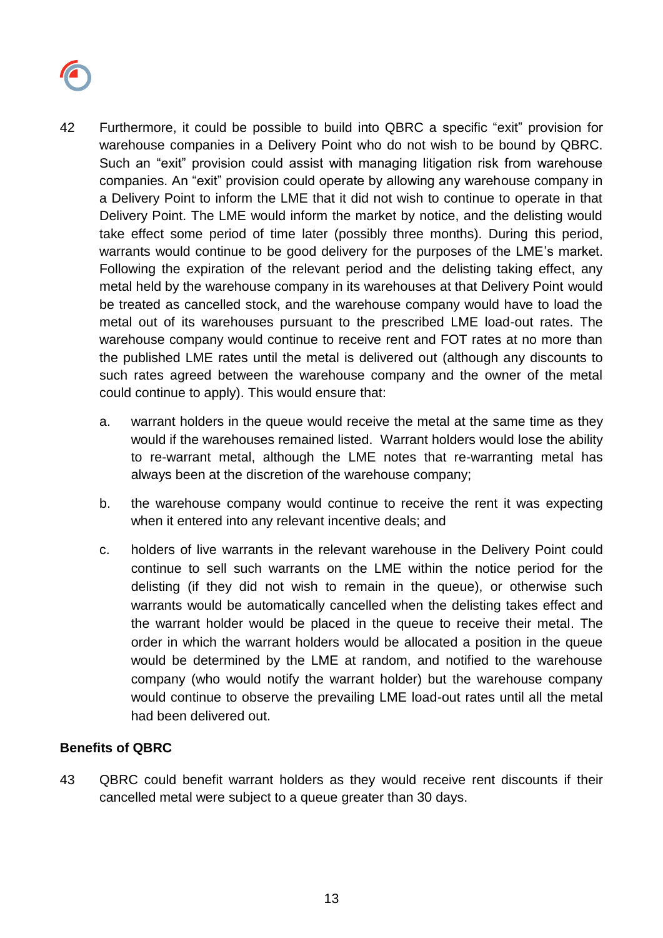

- 42 Furthermore, it could be possible to build into QBRC a specific "exit" provision for warehouse companies in a Delivery Point who do not wish to be bound by QBRC. Such an "exit" provision could assist with managing litigation risk from warehouse companies. An "exit" provision could operate by allowing any warehouse company in a Delivery Point to inform the LME that it did not wish to continue to operate in that Delivery Point. The LME would inform the market by notice, and the delisting would take effect some period of time later (possibly three months). During this period, warrants would continue to be good delivery for the purposes of the LME's market. Following the expiration of the relevant period and the delisting taking effect, any metal held by the warehouse company in its warehouses at that Delivery Point would be treated as cancelled stock, and the warehouse company would have to load the metal out of its warehouses pursuant to the prescribed LME load-out rates. The warehouse company would continue to receive rent and FOT rates at no more than the published LME rates until the metal is delivered out (although any discounts to such rates agreed between the warehouse company and the owner of the metal could continue to apply). This would ensure that:
	- a. warrant holders in the queue would receive the metal at the same time as they would if the warehouses remained listed. Warrant holders would lose the ability to re-warrant metal, although the LME notes that re-warranting metal has always been at the discretion of the warehouse company;
	- b. the warehouse company would continue to receive the rent it was expecting when it entered into any relevant incentive deals; and
	- c. holders of live warrants in the relevant warehouse in the Delivery Point could continue to sell such warrants on the LME within the notice period for the delisting (if they did not wish to remain in the queue), or otherwise such warrants would be automatically cancelled when the delisting takes effect and the warrant holder would be placed in the queue to receive their metal. The order in which the warrant holders would be allocated a position in the queue would be determined by the LME at random, and notified to the warehouse company (who would notify the warrant holder) but the warehouse company would continue to observe the prevailing LME load-out rates until all the metal had been delivered out.

#### **Benefits of QBRC**

43 QBRC could benefit warrant holders as they would receive rent discounts if their cancelled metal were subject to a queue greater than 30 days.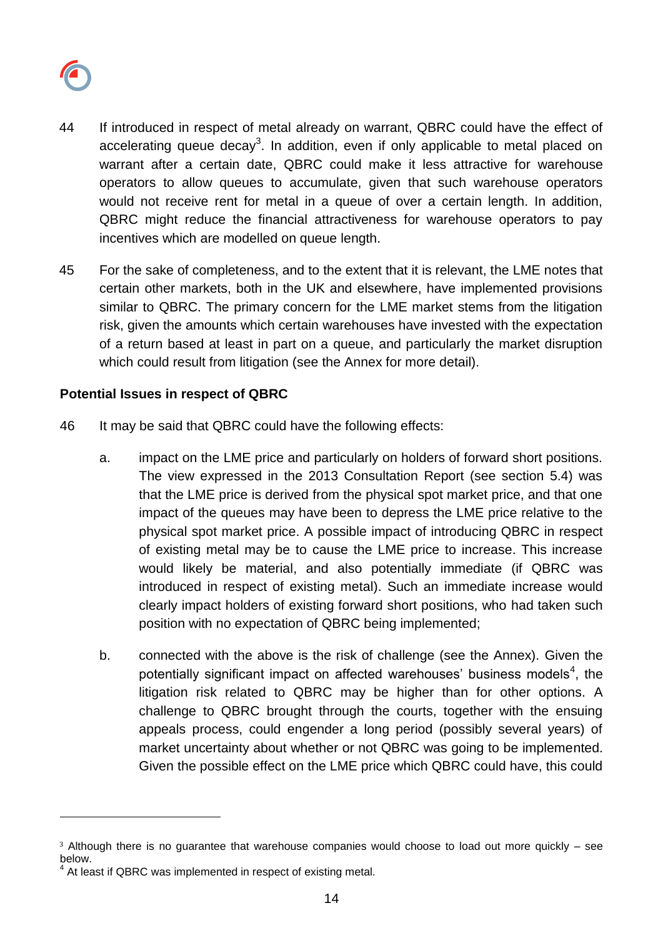

l

- 44 If introduced in respect of metal already on warrant, QBRC could have the effect of accelerating queue decay<sup>3</sup>. In addition, even if only applicable to metal placed on warrant after a certain date, QBRC could make it less attractive for warehouse operators to allow queues to accumulate, given that such warehouse operators would not receive rent for metal in a queue of over a certain length. In addition, QBRC might reduce the financial attractiveness for warehouse operators to pay incentives which are modelled on queue length.
- 45 For the sake of completeness, and to the extent that it is relevant, the LME notes that certain other markets, both in the UK and elsewhere, have implemented provisions similar to QBRC. The primary concern for the LME market stems from the litigation risk, given the amounts which certain warehouses have invested with the expectation of a return based at least in part on a queue, and particularly the market disruption which could result from litigation (see the Annex for more detail).

### **Potential Issues in respect of QBRC**

- 46 It may be said that QBRC could have the following effects:
	- a. impact on the LME price and particularly on holders of forward short positions. The view expressed in the 2013 Consultation Report (see section 5.4) was that the LME price is derived from the physical spot market price, and that one impact of the queues may have been to depress the LME price relative to the physical spot market price. A possible impact of introducing QBRC in respect of existing metal may be to cause the LME price to increase. This increase would likely be material, and also potentially immediate (if QBRC was introduced in respect of existing metal). Such an immediate increase would clearly impact holders of existing forward short positions, who had taken such position with no expectation of QBRC being implemented;
	- b. connected with the above is the risk of challenge (see the Annex). Given the potentially significant impact on affected warehouses' business models<sup>4</sup>, the litigation risk related to QBRC may be higher than for other options. A challenge to QBRC brought through the courts, together with the ensuing appeals process, could engender a long period (possibly several years) of market uncertainty about whether or not QBRC was going to be implemented. Given the possible effect on the LME price which QBRC could have, this could

<sup>&</sup>lt;sup>3</sup> Although there is no guarantee that warehouse companies would choose to load out more quickly – see below.

 $4$  At least if QBRC was implemented in respect of existing metal.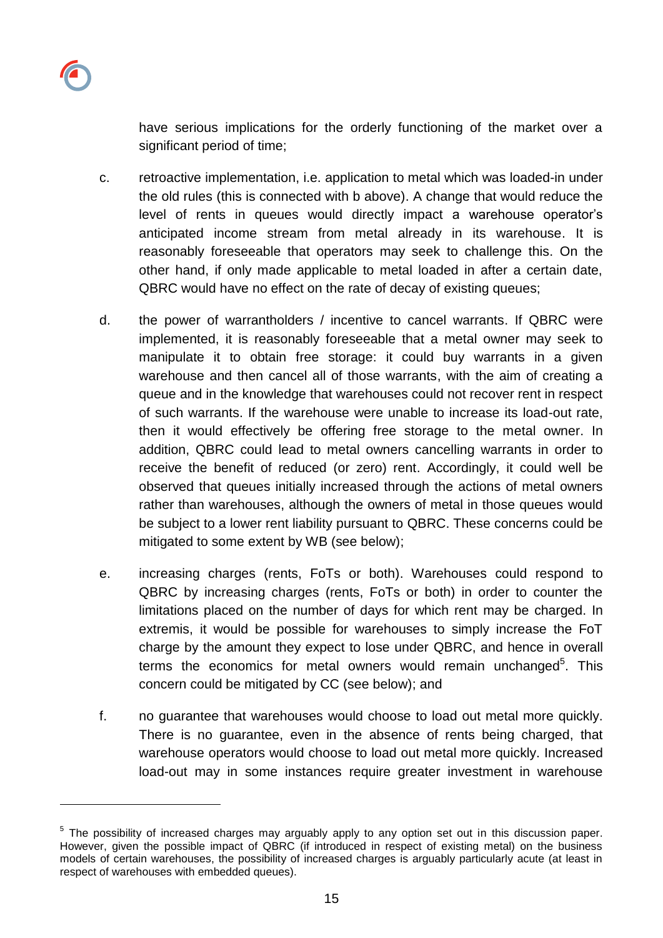have serious implications for the orderly functioning of the market over a significant period of time;

- c. retroactive implementation, i.e. application to metal which was loaded-in under the old rules (this is connected with b above). A change that would reduce the level of rents in queues would directly impact a warehouse operator's anticipated income stream from metal already in its warehouse. It is reasonably foreseeable that operators may seek to challenge this. On the other hand, if only made applicable to metal loaded in after a certain date, QBRC would have no effect on the rate of decay of existing queues;
- d. the power of warrantholders / incentive to cancel warrants. If QBRC were implemented, it is reasonably foreseeable that a metal owner may seek to manipulate it to obtain free storage: it could buy warrants in a given warehouse and then cancel all of those warrants, with the aim of creating a queue and in the knowledge that warehouses could not recover rent in respect of such warrants. If the warehouse were unable to increase its load-out rate, then it would effectively be offering free storage to the metal owner. In addition, QBRC could lead to metal owners cancelling warrants in order to receive the benefit of reduced (or zero) rent. Accordingly, it could well be observed that queues initially increased through the actions of metal owners rather than warehouses, although the owners of metal in those queues would be subject to a lower rent liability pursuant to QBRC. These concerns could be mitigated to some extent by WB (see below);
- e. increasing charges (rents, FoTs or both). Warehouses could respond to QBRC by increasing charges (rents, FoTs or both) in order to counter the limitations placed on the number of days for which rent may be charged. In extremis, it would be possible for warehouses to simply increase the FoT charge by the amount they expect to lose under QBRC, and hence in overall terms the economics for metal owners would remain unchanged<sup>5</sup>. This concern could be mitigated by CC (see below); and
- f. no guarantee that warehouses would choose to load out metal more quickly. There is no guarantee, even in the absence of rents being charged, that warehouse operators would choose to load out metal more quickly. Increased load-out may in some instances require greater investment in warehouse

l

<sup>&</sup>lt;sup>5</sup> The possibility of increased charges may arguably apply to any option set out in this discussion paper. However, given the possible impact of QBRC (if introduced in respect of existing metal) on the business models of certain warehouses, the possibility of increased charges is arguably particularly acute (at least in respect of warehouses with embedded queues).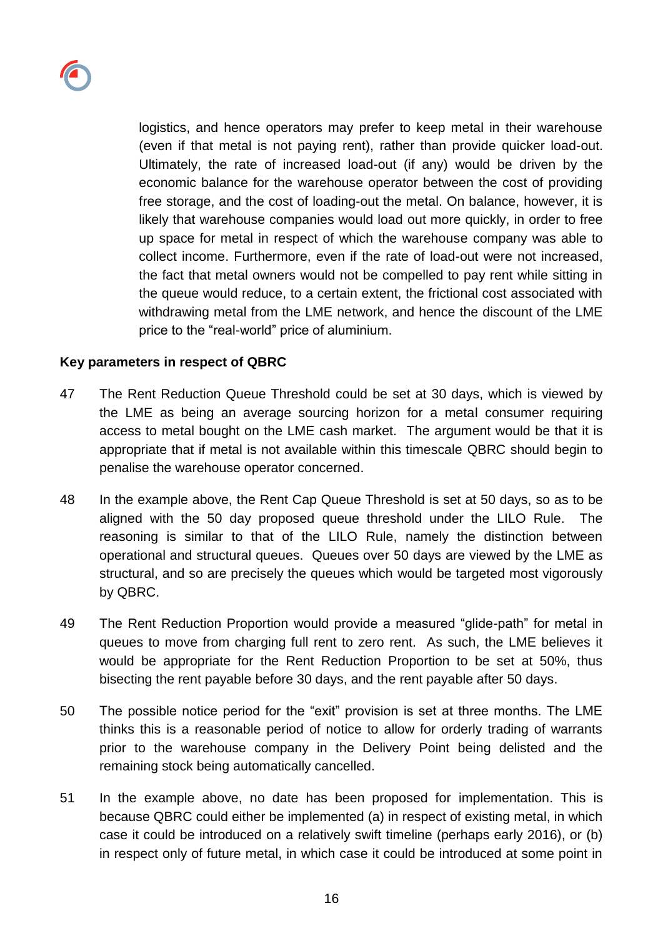

logistics, and hence operators may prefer to keep metal in their warehouse (even if that metal is not paying rent), rather than provide quicker load-out. Ultimately, the rate of increased load-out (if any) would be driven by the economic balance for the warehouse operator between the cost of providing free storage, and the cost of loading-out the metal. On balance, however, it is likely that warehouse companies would load out more quickly, in order to free up space for metal in respect of which the warehouse company was able to collect income. Furthermore, even if the rate of load-out were not increased, the fact that metal owners would not be compelled to pay rent while sitting in the queue would reduce, to a certain extent, the frictional cost associated with withdrawing metal from the LME network, and hence the discount of the LME price to the "real-world" price of aluminium.

#### **Key parameters in respect of QBRC**

- 47 The Rent Reduction Queue Threshold could be set at 30 days, which is viewed by the LME as being an average sourcing horizon for a metal consumer requiring access to metal bought on the LME cash market. The argument would be that it is appropriate that if metal is not available within this timescale QBRC should begin to penalise the warehouse operator concerned.
- 48 In the example above, the Rent Cap Queue Threshold is set at 50 days, so as to be aligned with the 50 day proposed queue threshold under the LILO Rule. The reasoning is similar to that of the LILO Rule, namely the distinction between operational and structural queues. Queues over 50 days are viewed by the LME as structural, and so are precisely the queues which would be targeted most vigorously by QBRC.
- 49 The Rent Reduction Proportion would provide a measured "glide-path" for metal in queues to move from charging full rent to zero rent. As such, the LME believes it would be appropriate for the Rent Reduction Proportion to be set at 50%, thus bisecting the rent payable before 30 days, and the rent payable after 50 days.
- 50 The possible notice period for the "exit" provision is set at three months. The LME thinks this is a reasonable period of notice to allow for orderly trading of warrants prior to the warehouse company in the Delivery Point being delisted and the remaining stock being automatically cancelled.
- 51 In the example above, no date has been proposed for implementation. This is because QBRC could either be implemented (a) in respect of existing metal, in which case it could be introduced on a relatively swift timeline (perhaps early 2016), or (b) in respect only of future metal, in which case it could be introduced at some point in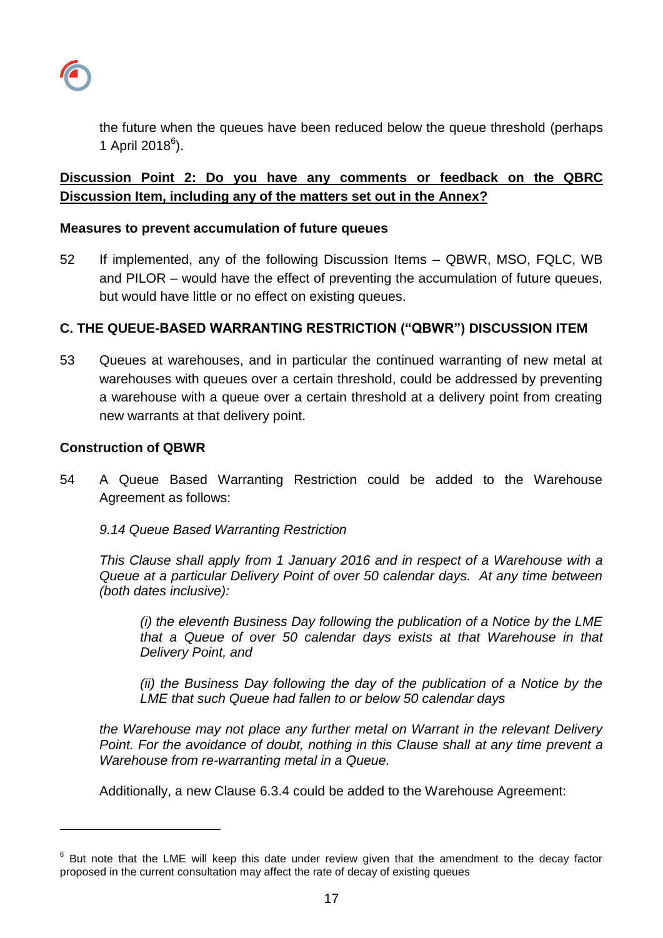

the future when the queues have been reduced below the queue threshold (perhaps 1 April 2018 $^{6}$ ).

# **Discussion Point 2: Do you have any comments or feedback on the QBRC Discussion Item, including any of the matters set out in the Annex?**

### **Measures to prevent accumulation of future queues**

52 If implemented, any of the following Discussion Items – QBWR, MSO, FQLC, WB and PILOR – would have the effect of preventing the accumulation of future queues, but would have little or no effect on existing queues.

## **C. THE QUEUE-BASED WARRANTING RESTRICTION ("QBWR") DISCUSSION ITEM**

53 Queues at warehouses, and in particular the continued warranting of new metal at warehouses with queues over a certain threshold, could be addressed by preventing a warehouse with a queue over a certain threshold at a delivery point from creating new warrants at that delivery point.

#### **Construction of QBWR**

l

54 A Queue Based Warranting Restriction could be added to the Warehouse Agreement as follows:

*9.14 Queue Based Warranting Restriction* 

*This Clause shall apply from 1 January 2016 and in respect of a Warehouse with a Queue at a particular Delivery Point of over 50 calendar days. At any time between (both dates inclusive):*

*(i) the eleventh Business Day following the publication of a Notice by the LME that a Queue of over 50 calendar days exists at that Warehouse in that Delivery Point, and* 

*(ii) the Business Day following the day of the publication of a Notice by the LME that such Queue had fallen to or below 50 calendar days*

*the Warehouse may not place any further metal on Warrant in the relevant Delivery Point. For the avoidance of doubt, nothing in this Clause shall at any time prevent a Warehouse from re-warranting metal in a Queue.* 

Additionally, a new Clause 6.3.4 could be added to the Warehouse Agreement:

 $6$  But note that the LME will keep this date under review given that the amendment to the decay factor proposed in the current consultation may affect the rate of decay of existing queues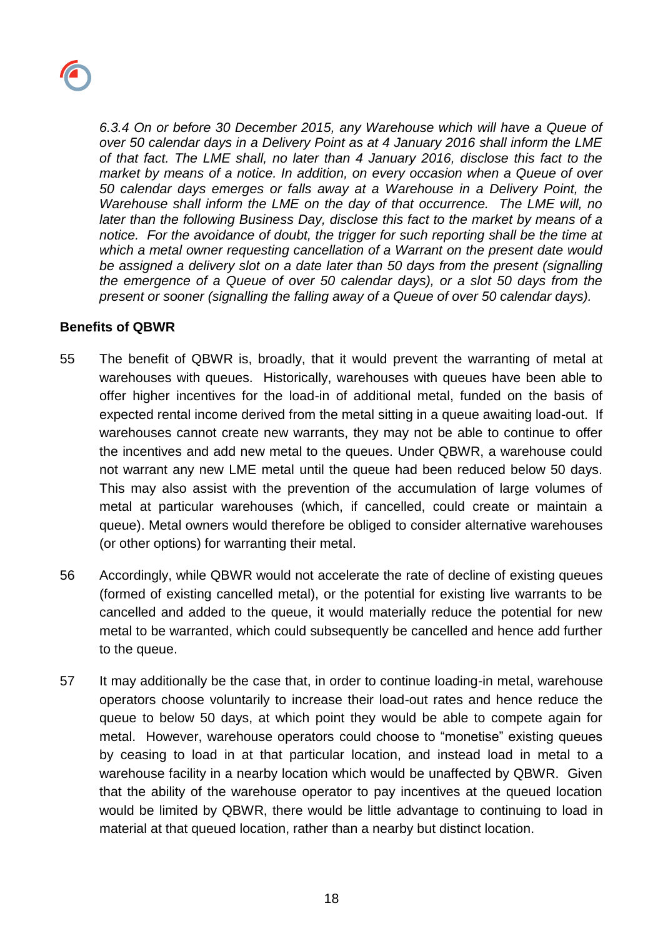

*6.3.4 On or before 30 December 2015, any Warehouse which will have a Queue of over 50 calendar days in a Delivery Point as at 4 January 2016 shall inform the LME of that fact. The LME shall, no later than 4 January 2016, disclose this fact to the market by means of a notice. In addition, on every occasion when a Queue of over 50 calendar days emerges or falls away at a Warehouse in a Delivery Point, the Warehouse shall inform the LME on the day of that occurrence. The LME will, no later than the following Business Day, disclose this fact to the market by means of a notice. For the avoidance of doubt, the trigger for such reporting shall be the time at which a metal owner requesting cancellation of a Warrant on the present date would be assigned a delivery slot on a date later than 50 days from the present (signalling the emergence of a Queue of over 50 calendar days), or a slot 50 days from the present or sooner (signalling the falling away of a Queue of over 50 calendar days).*

#### **Benefits of QBWR**

- 55 The benefit of QBWR is, broadly, that it would prevent the warranting of metal at warehouses with queues. Historically, warehouses with queues have been able to offer higher incentives for the load-in of additional metal, funded on the basis of expected rental income derived from the metal sitting in a queue awaiting load-out. If warehouses cannot create new warrants, they may not be able to continue to offer the incentives and add new metal to the queues. Under QBWR, a warehouse could not warrant any new LME metal until the queue had been reduced below 50 days. This may also assist with the prevention of the accumulation of large volumes of metal at particular warehouses (which, if cancelled, could create or maintain a queue). Metal owners would therefore be obliged to consider alternative warehouses (or other options) for warranting their metal.
- 56 Accordingly, while QBWR would not accelerate the rate of decline of existing queues (formed of existing cancelled metal), or the potential for existing live warrants to be cancelled and added to the queue, it would materially reduce the potential for new metal to be warranted, which could subsequently be cancelled and hence add further to the queue.
- 57 It may additionally be the case that, in order to continue loading-in metal, warehouse operators choose voluntarily to increase their load-out rates and hence reduce the queue to below 50 days, at which point they would be able to compete again for metal. However, warehouse operators could choose to "monetise" existing queues by ceasing to load in at that particular location, and instead load in metal to a warehouse facility in a nearby location which would be unaffected by QBWR. Given that the ability of the warehouse operator to pay incentives at the queued location would be limited by QBWR, there would be little advantage to continuing to load in material at that queued location, rather than a nearby but distinct location.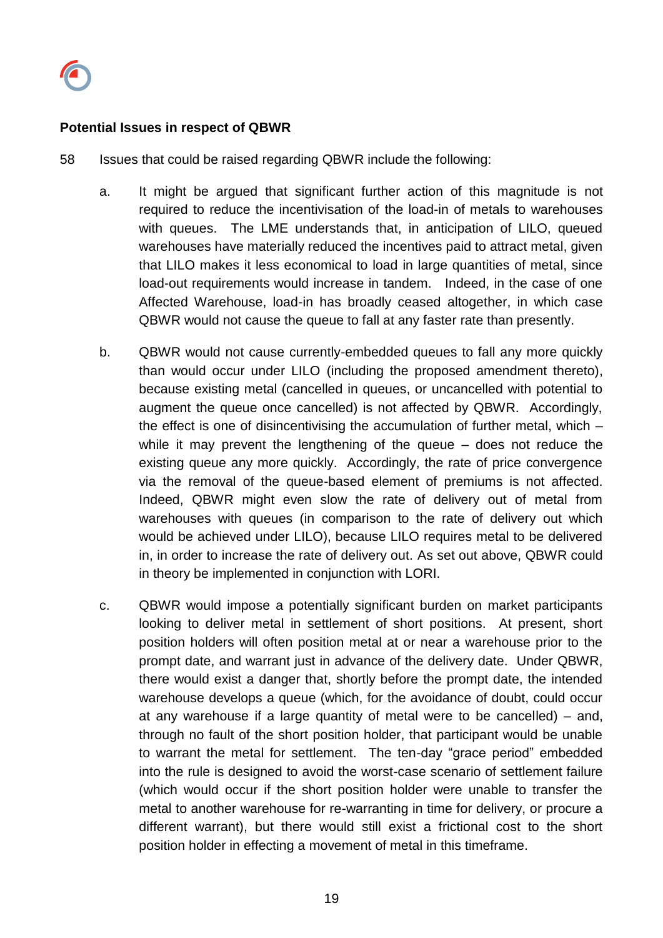

### **Potential Issues in respect of QBWR**

- 58 Issues that could be raised regarding QBWR include the following:
	- a. It might be argued that significant further action of this magnitude is not required to reduce the incentivisation of the load-in of metals to warehouses with queues. The LME understands that, in anticipation of LILO, queued warehouses have materially reduced the incentives paid to attract metal, given that LILO makes it less economical to load in large quantities of metal, since load-out requirements would increase in tandem. Indeed, in the case of one Affected Warehouse, load-in has broadly ceased altogether, in which case QBWR would not cause the queue to fall at any faster rate than presently.
	- b. QBWR would not cause currently-embedded queues to fall any more quickly than would occur under LILO (including the proposed amendment thereto), because existing metal (cancelled in queues, or uncancelled with potential to augment the queue once cancelled) is not affected by QBWR. Accordingly, the effect is one of disincentivising the accumulation of further metal, which – while it may prevent the lengthening of the queue – does not reduce the existing queue any more quickly. Accordingly, the rate of price convergence via the removal of the queue-based element of premiums is not affected. Indeed, QBWR might even slow the rate of delivery out of metal from warehouses with queues (in comparison to the rate of delivery out which would be achieved under LILO), because LILO requires metal to be delivered in, in order to increase the rate of delivery out. As set out above, QBWR could in theory be implemented in conjunction with LORI.
	- c. QBWR would impose a potentially significant burden on market participants looking to deliver metal in settlement of short positions. At present, short position holders will often position metal at or near a warehouse prior to the prompt date, and warrant just in advance of the delivery date. Under QBWR, there would exist a danger that, shortly before the prompt date, the intended warehouse develops a queue (which, for the avoidance of doubt, could occur at any warehouse if a large quantity of metal were to be cancelled) – and, through no fault of the short position holder, that participant would be unable to warrant the metal for settlement. The ten-day "grace period" embedded into the rule is designed to avoid the worst-case scenario of settlement failure (which would occur if the short position holder were unable to transfer the metal to another warehouse for re-warranting in time for delivery, or procure a different warrant), but there would still exist a frictional cost to the short position holder in effecting a movement of metal in this timeframe.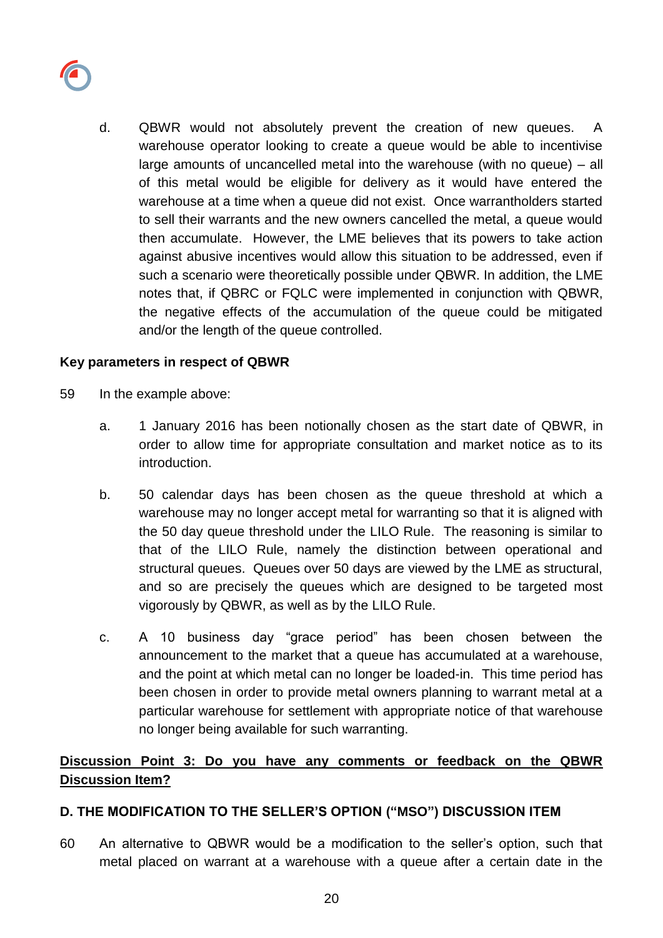

d. QBWR would not absolutely prevent the creation of new queues. A warehouse operator looking to create a queue would be able to incentivise large amounts of uncancelled metal into the warehouse (with no queue) – all of this metal would be eligible for delivery as it would have entered the warehouse at a time when a queue did not exist. Once warrantholders started to sell their warrants and the new owners cancelled the metal, a queue would then accumulate. However, the LME believes that its powers to take action against abusive incentives would allow this situation to be addressed, even if such a scenario were theoretically possible under QBWR. In addition, the LME notes that, if QBRC or FQLC were implemented in conjunction with QBWR, the negative effects of the accumulation of the queue could be mitigated and/or the length of the queue controlled.

### **Key parameters in respect of QBWR**

- 59 In the example above:
	- a. 1 January 2016 has been notionally chosen as the start date of QBWR, in order to allow time for appropriate consultation and market notice as to its introduction.
	- b. 50 calendar days has been chosen as the queue threshold at which a warehouse may no longer accept metal for warranting so that it is aligned with the 50 day queue threshold under the LILO Rule. The reasoning is similar to that of the LILO Rule, namely the distinction between operational and structural queues. Queues over 50 days are viewed by the LME as structural, and so are precisely the queues which are designed to be targeted most vigorously by QBWR, as well as by the LILO Rule.
	- c. A 10 business day "grace period" has been chosen between the announcement to the market that a queue has accumulated at a warehouse, and the point at which metal can no longer be loaded-in. This time period has been chosen in order to provide metal owners planning to warrant metal at a particular warehouse for settlement with appropriate notice of that warehouse no longer being available for such warranting.

# **Discussion Point 3: Do you have any comments or feedback on the QBWR Discussion Item?**

### **D. THE MODIFICATION TO THE SELLER'S OPTION ("MSO") DISCUSSION ITEM**

60 An alternative to QBWR would be a modification to the seller's option, such that metal placed on warrant at a warehouse with a queue after a certain date in the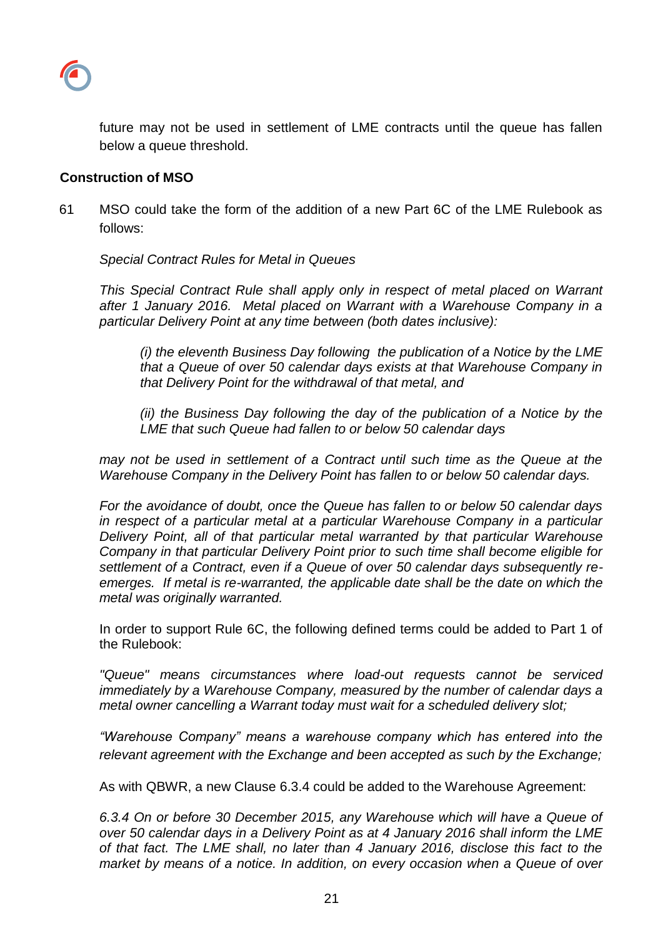

future may not be used in settlement of LME contracts until the queue has fallen below a queue threshold.

#### **Construction of MSO**

61 MSO could take the form of the addition of a new Part 6C of the LME Rulebook as follows:

*Special Contract Rules for Metal in Queues*

*This Special Contract Rule shall apply only in respect of metal placed on Warrant after 1 January 2016. Metal placed on Warrant with a Warehouse Company in a particular Delivery Point at any time between (both dates inclusive):*

*(i) the eleventh Business Day following the publication of a Notice by the LME that a Queue of over 50 calendar days exists at that Warehouse Company in that Delivery Point for the withdrawal of that metal, and* 

*(ii) the Business Day following the day of the publication of a Notice by the LME that such Queue had fallen to or below 50 calendar days*

*may not be used in settlement of a Contract until such time as the Queue at the Warehouse Company in the Delivery Point has fallen to or below 50 calendar days.* 

*For the avoidance of doubt, once the Queue has fallen to or below 50 calendar days in respect of a particular metal at a particular Warehouse Company in a particular Delivery Point, all of that particular metal warranted by that particular Warehouse Company in that particular Delivery Point prior to such time shall become eligible for settlement of a Contract, even if a Queue of over 50 calendar days subsequently reemerges. If metal is re-warranted, the applicable date shall be the date on which the metal was originally warranted.*

In order to support Rule 6C, the following defined terms could be added to Part 1 of the Rulebook:

*"Queue" means circumstances where load-out requests cannot be serviced immediately by a Warehouse Company, measured by the number of calendar days a metal owner cancelling a Warrant today must wait for a scheduled delivery slot;*

*"Warehouse Company" means a warehouse company which has entered into the relevant agreement with the Exchange and been accepted as such by the Exchange;*

As with QBWR, a new Clause 6.3.4 could be added to the Warehouse Agreement:

*6.3.4 On or before 30 December 2015, any Warehouse which will have a Queue of over 50 calendar days in a Delivery Point as at 4 January 2016 shall inform the LME of that fact. The LME shall, no later than 4 January 2016, disclose this fact to the market by means of a notice. In addition, on every occasion when a Queue of over*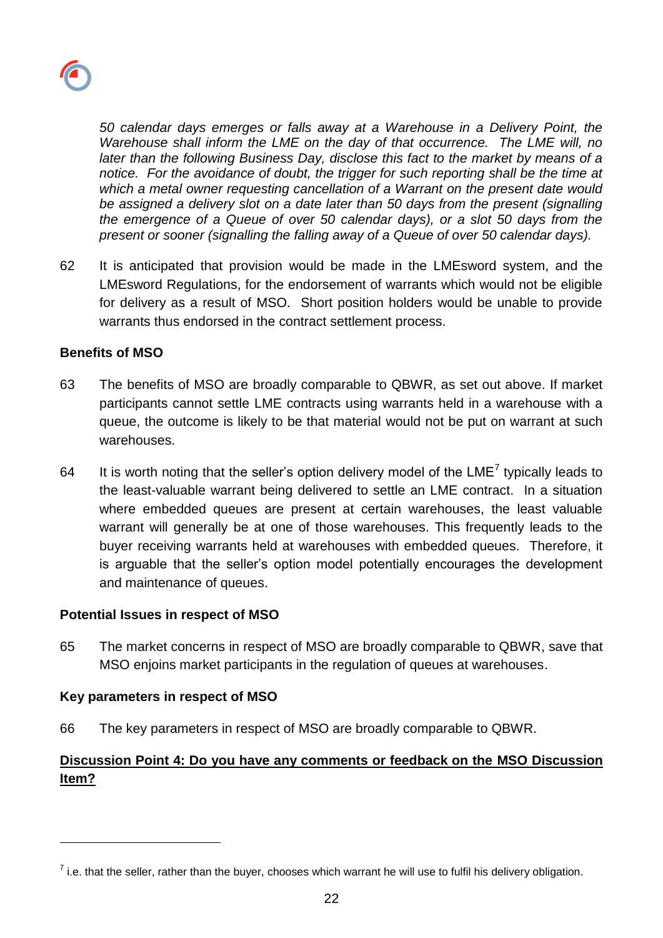

*50 calendar days emerges or falls away at a Warehouse in a Delivery Point, the Warehouse shall inform the LME on the day of that occurrence. The LME will, no later than the following Business Day, disclose this fact to the market by means of a notice. For the avoidance of doubt, the trigger for such reporting shall be the time at which a metal owner requesting cancellation of a Warrant on the present date would be assigned a delivery slot on a date later than 50 days from the present (signalling the emergence of a Queue of over 50 calendar days), or a slot 50 days from the present or sooner (signalling the falling away of a Queue of over 50 calendar days).*

62 It is anticipated that provision would be made in the LMEsword system, and the LMEsword Regulations, for the endorsement of warrants which would not be eligible for delivery as a result of MSO. Short position holders would be unable to provide warrants thus endorsed in the contract settlement process.

#### **Benefits of MSO**

- 63 The benefits of MSO are broadly comparable to QBWR, as set out above. If market participants cannot settle LME contracts using warrants held in a warehouse with a queue, the outcome is likely to be that material would not be put on warrant at such warehouses.
- 64 It is worth noting that the seller's option delivery model of the LME<sup>7</sup> typically leads to the least-valuable warrant being delivered to settle an LME contract. In a situation where embedded queues are present at certain warehouses, the least valuable warrant will generally be at one of those warehouses. This frequently leads to the buyer receiving warrants held at warehouses with embedded queues. Therefore, it is arguable that the seller's option model potentially encourages the development and maintenance of queues.

#### **Potential Issues in respect of MSO**

65 The market concerns in respect of MSO are broadly comparable to QBWR, save that MSO enjoins market participants in the regulation of queues at warehouses.

#### **Key parameters in respect of MSO**

l

66 The key parameters in respect of MSO are broadly comparable to QBWR.

# **Discussion Point 4: Do you have any comments or feedback on the MSO Discussion Item?**

 $^7$  i.e. that the seller, rather than the buyer, chooses which warrant he will use to fulfil his delivery obligation.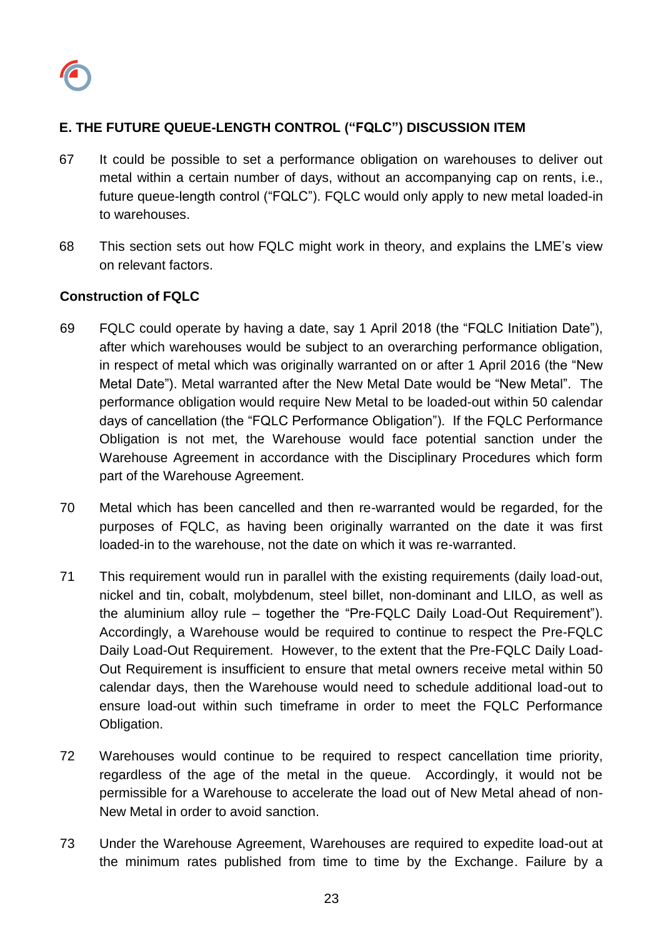

# **E. THE FUTURE QUEUE-LENGTH CONTROL ("FQLC") DISCUSSION ITEM**

- 67 It could be possible to set a performance obligation on warehouses to deliver out metal within a certain number of days, without an accompanying cap on rents, i.e., future queue-length control ("FQLC"). FQLC would only apply to new metal loaded-in to warehouses.
- 68 This section sets out how FQLC might work in theory, and explains the LME's view on relevant factors.

### **Construction of FQLC**

- 69 FQLC could operate by having a date, say 1 April 2018 (the "FQLC Initiation Date"), after which warehouses would be subject to an overarching performance obligation, in respect of metal which was originally warranted on or after 1 April 2016 (the "New Metal Date"). Metal warranted after the New Metal Date would be "New Metal". The performance obligation would require New Metal to be loaded-out within 50 calendar days of cancellation (the "FQLC Performance Obligation"). If the FQLC Performance Obligation is not met, the Warehouse would face potential sanction under the Warehouse Agreement in accordance with the Disciplinary Procedures which form part of the Warehouse Agreement.
- 70 Metal which has been cancelled and then re-warranted would be regarded, for the purposes of FQLC, as having been originally warranted on the date it was first loaded-in to the warehouse, not the date on which it was re-warranted.
- 71 This requirement would run in parallel with the existing requirements (daily load-out, nickel and tin, cobalt, molybdenum, steel billet, non-dominant and LILO, as well as the aluminium alloy rule – together the "Pre-FQLC Daily Load-Out Requirement"). Accordingly, a Warehouse would be required to continue to respect the Pre-FQLC Daily Load-Out Requirement. However, to the extent that the Pre-FQLC Daily Load-Out Requirement is insufficient to ensure that metal owners receive metal within 50 calendar days, then the Warehouse would need to schedule additional load-out to ensure load-out within such timeframe in order to meet the FQLC Performance Obligation.
- 72 Warehouses would continue to be required to respect cancellation time priority, regardless of the age of the metal in the queue. Accordingly, it would not be permissible for a Warehouse to accelerate the load out of New Metal ahead of non-New Metal in order to avoid sanction.
- 73 Under the Warehouse Agreement, Warehouses are required to expedite load-out at the minimum rates published from time to time by the Exchange. Failure by a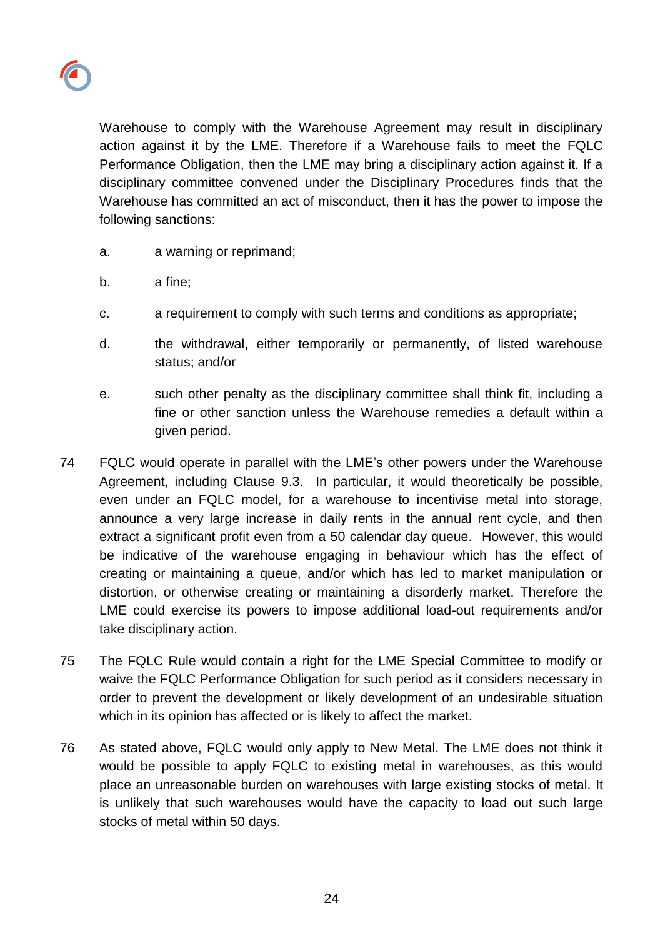

Warehouse to comply with the Warehouse Agreement may result in disciplinary action against it by the LME. Therefore if a Warehouse fails to meet the FQLC Performance Obligation, then the LME may bring a disciplinary action against it. If a disciplinary committee convened under the Disciplinary Procedures finds that the Warehouse has committed an act of misconduct, then it has the power to impose the following sanctions:

- a. a warning or reprimand;
- b. a fine;
- c. a requirement to comply with such terms and conditions as appropriate;
- d. the withdrawal, either temporarily or permanently, of listed warehouse status; and/or
- e. such other penalty as the disciplinary committee shall think fit, including a fine or other sanction unless the Warehouse remedies a default within a given period.
- 74 FQLC would operate in parallel with the LME's other powers under the Warehouse Agreement, including Clause 9.3. In particular, it would theoretically be possible, even under an FQLC model, for a warehouse to incentivise metal into storage, announce a very large increase in daily rents in the annual rent cycle, and then extract a significant profit even from a 50 calendar day queue. However, this would be indicative of the warehouse engaging in behaviour which has the effect of creating or maintaining a queue, and/or which has led to market manipulation or distortion, or otherwise creating or maintaining a disorderly market. Therefore the LME could exercise its powers to impose additional load-out requirements and/or take disciplinary action.
- 75 The FQLC Rule would contain a right for the LME Special Committee to modify or waive the FQLC Performance Obligation for such period as it considers necessary in order to prevent the development or likely development of an undesirable situation which in its opinion has affected or is likely to affect the market.
- 76 As stated above, FQLC would only apply to New Metal. The LME does not think it would be possible to apply FQLC to existing metal in warehouses, as this would place an unreasonable burden on warehouses with large existing stocks of metal. It is unlikely that such warehouses would have the capacity to load out such large stocks of metal within 50 days.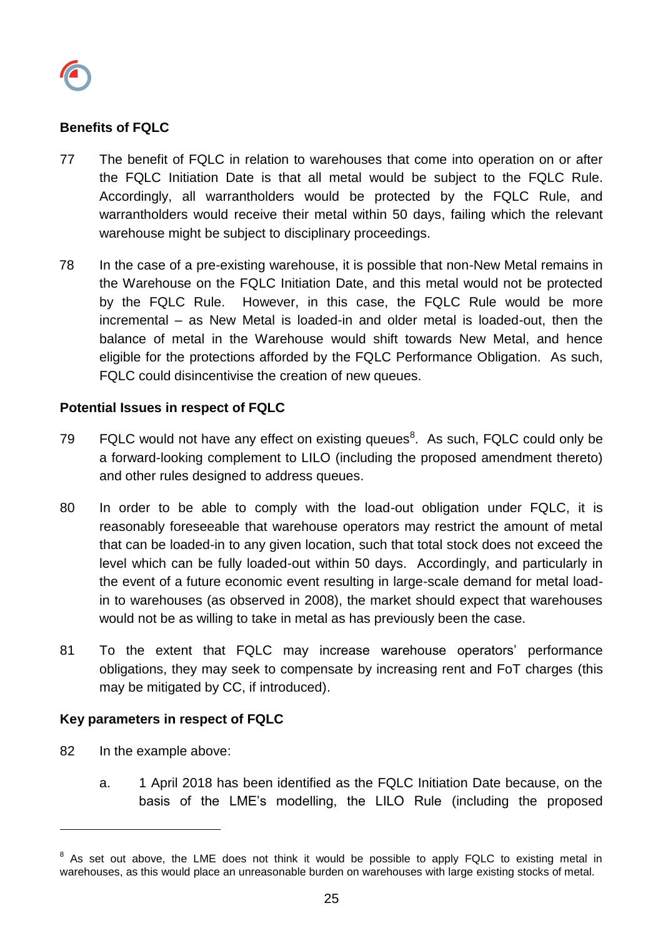

### **Benefits of FQLC**

- 77 The benefit of FQLC in relation to warehouses that come into operation on or after the FQLC Initiation Date is that all metal would be subject to the FQLC Rule. Accordingly, all warrantholders would be protected by the FQLC Rule, and warrantholders would receive their metal within 50 days, failing which the relevant warehouse might be subject to disciplinary proceedings.
- 78 In the case of a pre-existing warehouse, it is possible that non-New Metal remains in the Warehouse on the FQLC Initiation Date, and this metal would not be protected by the FQLC Rule. However, in this case, the FQLC Rule would be more incremental – as New Metal is loaded-in and older metal is loaded-out, then the balance of metal in the Warehouse would shift towards New Metal, and hence eligible for the protections afforded by the FQLC Performance Obligation. As such, FQLC could disincentivise the creation of new queues.

#### **Potential Issues in respect of FQLC**

- 79  $FQLC$  would not have any effect on existing queues<sup>8</sup>. As such, FQLC could only be a forward-looking complement to LILO (including the proposed amendment thereto) and other rules designed to address queues.
- 80 In order to be able to comply with the load-out obligation under FQLC, it is reasonably foreseeable that warehouse operators may restrict the amount of metal that can be loaded-in to any given location, such that total stock does not exceed the level which can be fully loaded-out within 50 days. Accordingly, and particularly in the event of a future economic event resulting in large-scale demand for metal loadin to warehouses (as observed in 2008), the market should expect that warehouses would not be as willing to take in metal as has previously been the case.
- 81 To the extent that FQLC may increase warehouse operators' performance obligations, they may seek to compensate by increasing rent and FoT charges (this may be mitigated by CC, if introduced).

#### **Key parameters in respect of FQLC**

82 In the example above:

l

a. 1 April 2018 has been identified as the FQLC Initiation Date because, on the basis of the LME's modelling, the LILO Rule (including the proposed

 $8$  As set out above, the LME does not think it would be possible to apply FQLC to existing metal in warehouses, as this would place an unreasonable burden on warehouses with large existing stocks of metal.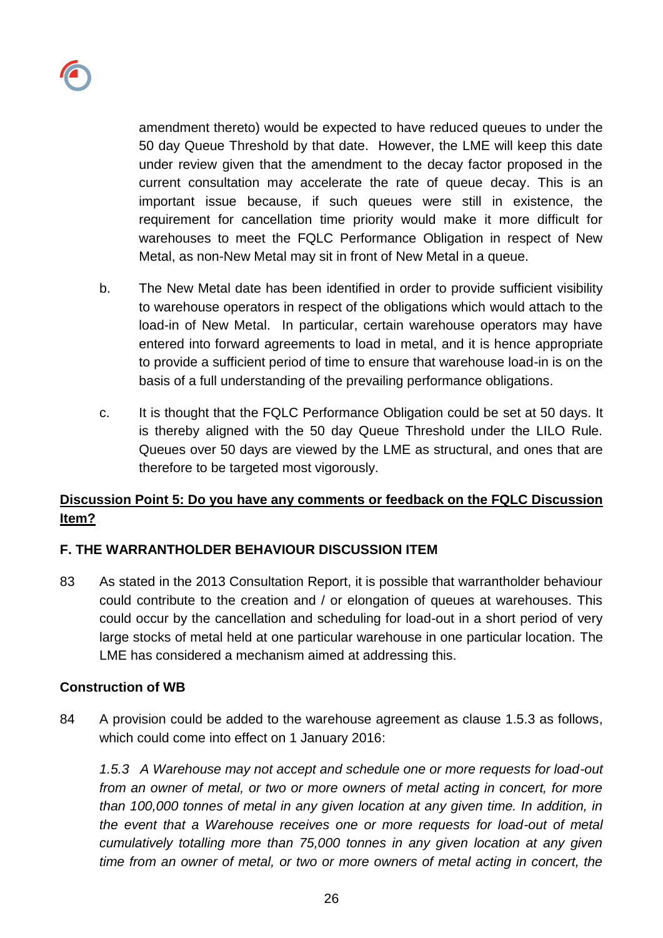

amendment thereto) would be expected to have reduced queues to under the 50 day Queue Threshold by that date. However, the LME will keep this date under review given that the amendment to the decay factor proposed in the current consultation may accelerate the rate of queue decay. This is an important issue because, if such queues were still in existence, the requirement for cancellation time priority would make it more difficult for warehouses to meet the FQLC Performance Obligation in respect of New Metal, as non-New Metal may sit in front of New Metal in a queue.

- b. The New Metal date has been identified in order to provide sufficient visibility to warehouse operators in respect of the obligations which would attach to the load-in of New Metal. In particular, certain warehouse operators may have entered into forward agreements to load in metal, and it is hence appropriate to provide a sufficient period of time to ensure that warehouse load-in is on the basis of a full understanding of the prevailing performance obligations.
- c. It is thought that the FQLC Performance Obligation could be set at 50 days. It is thereby aligned with the 50 day Queue Threshold under the LILO Rule. Queues over 50 days are viewed by the LME as structural, and ones that are therefore to be targeted most vigorously.

# **Discussion Point 5: Do you have any comments or feedback on the FQLC Discussion Item?**

## **F. THE WARRANTHOLDER BEHAVIOUR DISCUSSION ITEM**

83 As stated in the 2013 Consultation Report, it is possible that warrantholder behaviour could contribute to the creation and / or elongation of queues at warehouses. This could occur by the cancellation and scheduling for load-out in a short period of very large stocks of metal held at one particular warehouse in one particular location. The LME has considered a mechanism aimed at addressing this.

#### **Construction of WB**

84 A provision could be added to the warehouse agreement as clause 1.5.3 as follows, which could come into effect on 1 January 2016:

*1.5.3 A Warehouse may not accept and schedule one or more requests for load-out from an owner of metal, or two or more owners of metal acting in concert, for more than 100,000 tonnes of metal in any given location at any given time. In addition, in the event that a Warehouse receives one or more requests for load-out of metal cumulatively totalling more than 75,000 tonnes in any given location at any given time from an owner of metal, or two or more owners of metal acting in concert, the*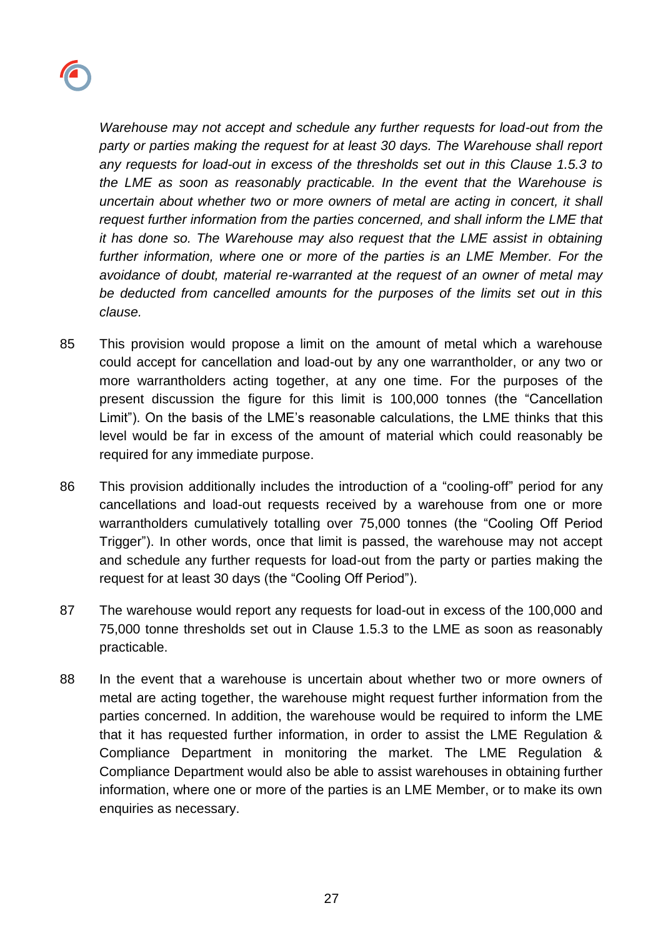

*Warehouse may not accept and schedule any further requests for load-out from the party or parties making the request for at least 30 days. The Warehouse shall report any requests for load-out in excess of the thresholds set out in this Clause 1.5.3 to the LME as soon as reasonably practicable. In the event that the Warehouse is uncertain about whether two or more owners of metal are acting in concert, it shall request further information from the parties concerned, and shall inform the LME that it has done so. The Warehouse may also request that the LME assist in obtaining further information, where one or more of the parties is an LME Member. For the avoidance of doubt, material re-warranted at the request of an owner of metal may be deducted from cancelled amounts for the purposes of the limits set out in this clause.*

- 85 This provision would propose a limit on the amount of metal which a warehouse could accept for cancellation and load-out by any one warrantholder, or any two or more warrantholders acting together, at any one time. For the purposes of the present discussion the figure for this limit is 100,000 tonnes (the "Cancellation Limit"). On the basis of the LME's reasonable calculations, the LME thinks that this level would be far in excess of the amount of material which could reasonably be required for any immediate purpose.
- 86 This provision additionally includes the introduction of a "cooling-off" period for any cancellations and load-out requests received by a warehouse from one or more warrantholders cumulatively totalling over 75,000 tonnes (the "Cooling Off Period Trigger"). In other words, once that limit is passed, the warehouse may not accept and schedule any further requests for load-out from the party or parties making the request for at least 30 days (the "Cooling Off Period").
- 87 The warehouse would report any requests for load-out in excess of the 100,000 and 75,000 tonne thresholds set out in Clause 1.5.3 to the LME as soon as reasonably practicable.
- 88 In the event that a warehouse is uncertain about whether two or more owners of metal are acting together, the warehouse might request further information from the parties concerned. In addition, the warehouse would be required to inform the LME that it has requested further information, in order to assist the LME Regulation & Compliance Department in monitoring the market. The LME Regulation & Compliance Department would also be able to assist warehouses in obtaining further information, where one or more of the parties is an LME Member, or to make its own enquiries as necessary.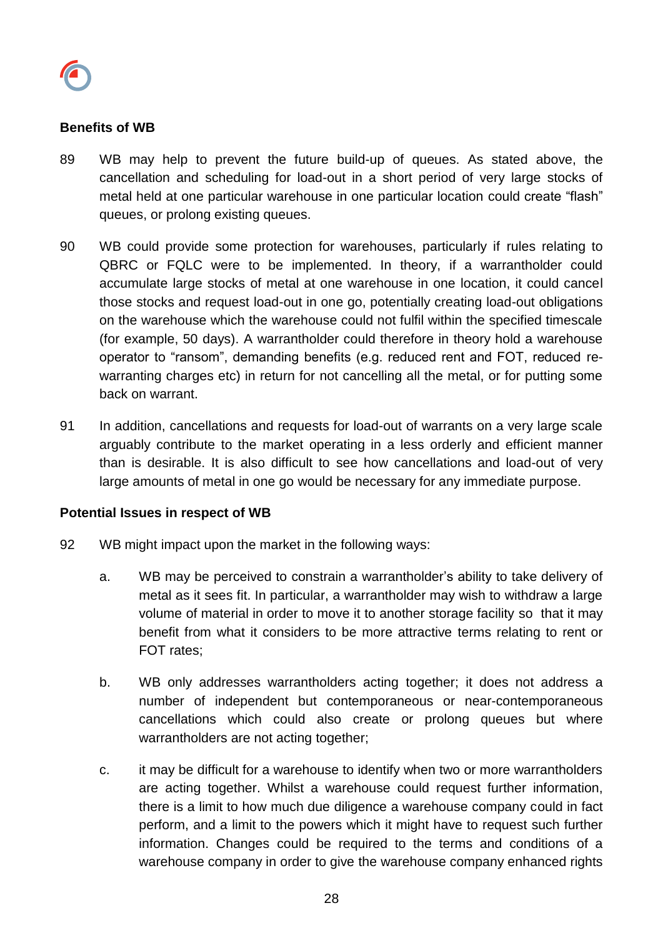

#### **Benefits of WB**

- 89 WB may help to prevent the future build-up of queues. As stated above, the cancellation and scheduling for load-out in a short period of very large stocks of metal held at one particular warehouse in one particular location could create "flash" queues, or prolong existing queues.
- 90 WB could provide some protection for warehouses, particularly if rules relating to QBRC or FQLC were to be implemented. In theory, if a warrantholder could accumulate large stocks of metal at one warehouse in one location, it could cancel those stocks and request load-out in one go, potentially creating load-out obligations on the warehouse which the warehouse could not fulfil within the specified timescale (for example, 50 days). A warrantholder could therefore in theory hold a warehouse operator to "ransom", demanding benefits (e.g. reduced rent and FOT, reduced rewarranting charges etc) in return for not cancelling all the metal, or for putting some back on warrant.
- 91 In addition, cancellations and requests for load-out of warrants on a very large scale arguably contribute to the market operating in a less orderly and efficient manner than is desirable. It is also difficult to see how cancellations and load-out of very large amounts of metal in one go would be necessary for any immediate purpose.

#### **Potential Issues in respect of WB**

- 92 WB might impact upon the market in the following ways:
	- a. WB may be perceived to constrain a warrantholder's ability to take delivery of metal as it sees fit. In particular, a warrantholder may wish to withdraw a large volume of material in order to move it to another storage facility so that it may benefit from what it considers to be more attractive terms relating to rent or FOT rates;
	- b. WB only addresses warrantholders acting together; it does not address a number of independent but contemporaneous or near-contemporaneous cancellations which could also create or prolong queues but where warrantholders are not acting together;
	- c. it may be difficult for a warehouse to identify when two or more warrantholders are acting together. Whilst a warehouse could request further information, there is a limit to how much due diligence a warehouse company could in fact perform, and a limit to the powers which it might have to request such further information. Changes could be required to the terms and conditions of a warehouse company in order to give the warehouse company enhanced rights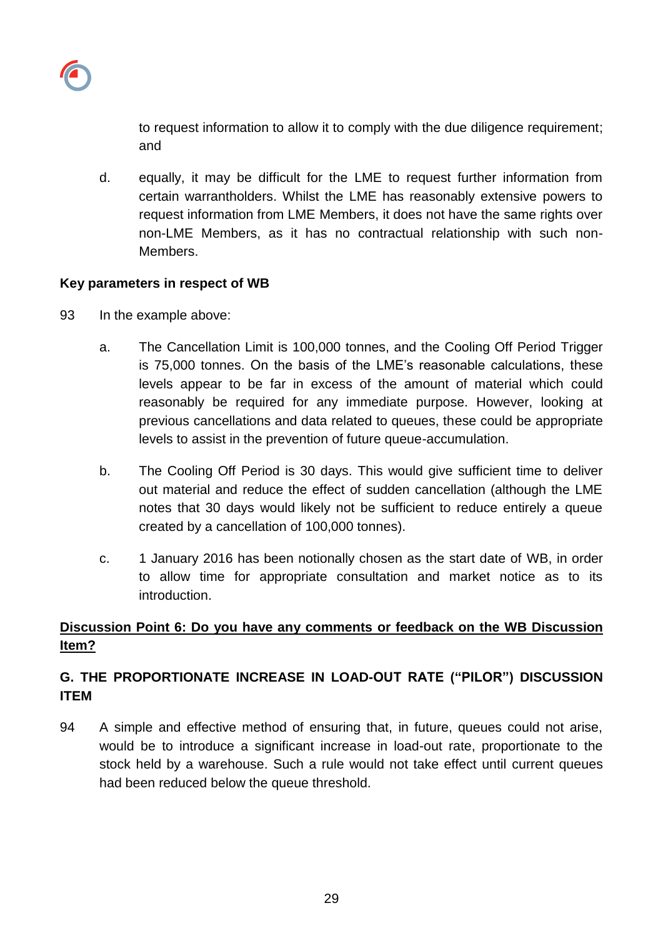

to request information to allow it to comply with the due diligence requirement; and

d. equally, it may be difficult for the LME to request further information from certain warrantholders. Whilst the LME has reasonably extensive powers to request information from LME Members, it does not have the same rights over non-LME Members, as it has no contractual relationship with such non-Members.

## **Key parameters in respect of WB**

- 93 In the example above:
	- a. The Cancellation Limit is 100,000 tonnes, and the Cooling Off Period Trigger is 75,000 tonnes. On the basis of the LME's reasonable calculations, these levels appear to be far in excess of the amount of material which could reasonably be required for any immediate purpose. However, looking at previous cancellations and data related to queues, these could be appropriate levels to assist in the prevention of future queue-accumulation.
	- b. The Cooling Off Period is 30 days. This would give sufficient time to deliver out material and reduce the effect of sudden cancellation (although the LME notes that 30 days would likely not be sufficient to reduce entirely a queue created by a cancellation of 100,000 tonnes).
	- c. 1 January 2016 has been notionally chosen as the start date of WB, in order to allow time for appropriate consultation and market notice as to its introduction.

# **Discussion Point 6: Do you have any comments or feedback on the WB Discussion Item?**

# **G. THE PROPORTIONATE INCREASE IN LOAD-OUT RATE ("PILOR") DISCUSSION ITEM**

94 A simple and effective method of ensuring that, in future, queues could not arise, would be to introduce a significant increase in load-out rate, proportionate to the stock held by a warehouse. Such a rule would not take effect until current queues had been reduced below the queue threshold.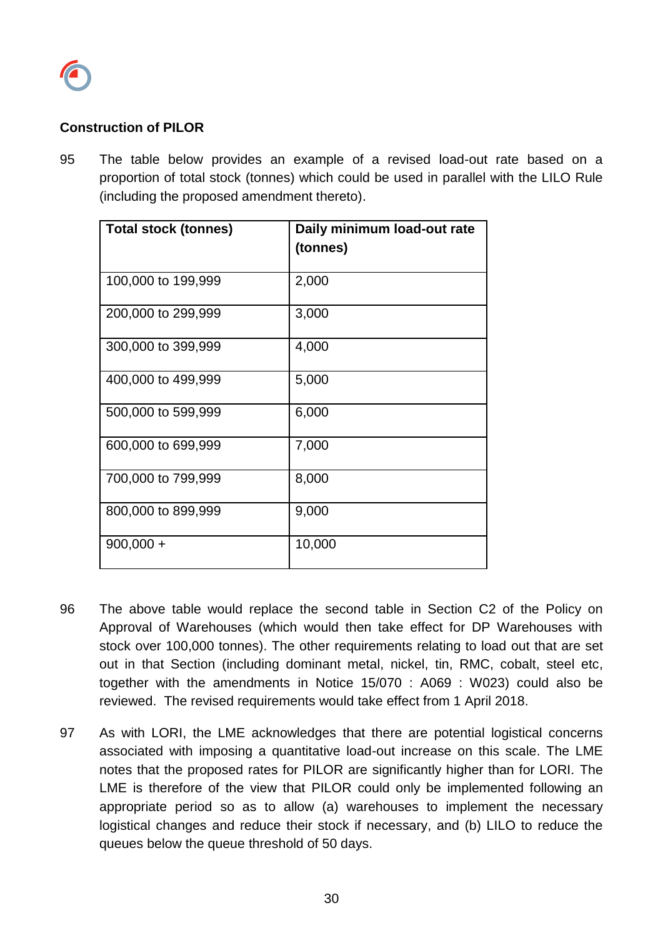

#### **Construction of PILOR**

95 The table below provides an example of a revised load-out rate based on a proportion of total stock (tonnes) which could be used in parallel with the LILO Rule (including the proposed amendment thereto).

| <b>Total stock (tonnes)</b> | Daily minimum load-out rate<br>(tonnes) |
|-----------------------------|-----------------------------------------|
| 100,000 to 199,999          | 2,000                                   |
| 200,000 to 299,999          | 3,000                                   |
| 300,000 to 399,999          | 4,000                                   |
| 400,000 to 499,999          | 5,000                                   |
| 500,000 to 599,999          | 6,000                                   |
| 600,000 to 699,999          | 7,000                                   |
| 700,000 to 799,999          | 8,000                                   |
| 800,000 to 899,999          | 9,000                                   |
| $900,000 +$                 | 10,000                                  |

- 96 The above table would replace the second table in Section C2 of the Policy on Approval of Warehouses (which would then take effect for DP Warehouses with stock over 100,000 tonnes). The other requirements relating to load out that are set out in that Section (including dominant metal, nickel, tin, RMC, cobalt, steel etc, together with the amendments in Notice 15/070 : A069 : W023) could also be reviewed. The revised requirements would take effect from 1 April 2018.
- 97 As with LORI, the LME acknowledges that there are potential logistical concerns associated with imposing a quantitative load-out increase on this scale. The LME notes that the proposed rates for PILOR are significantly higher than for LORI. The LME is therefore of the view that PILOR could only be implemented following an appropriate period so as to allow (a) warehouses to implement the necessary logistical changes and reduce their stock if necessary, and (b) LILO to reduce the queues below the queue threshold of 50 days.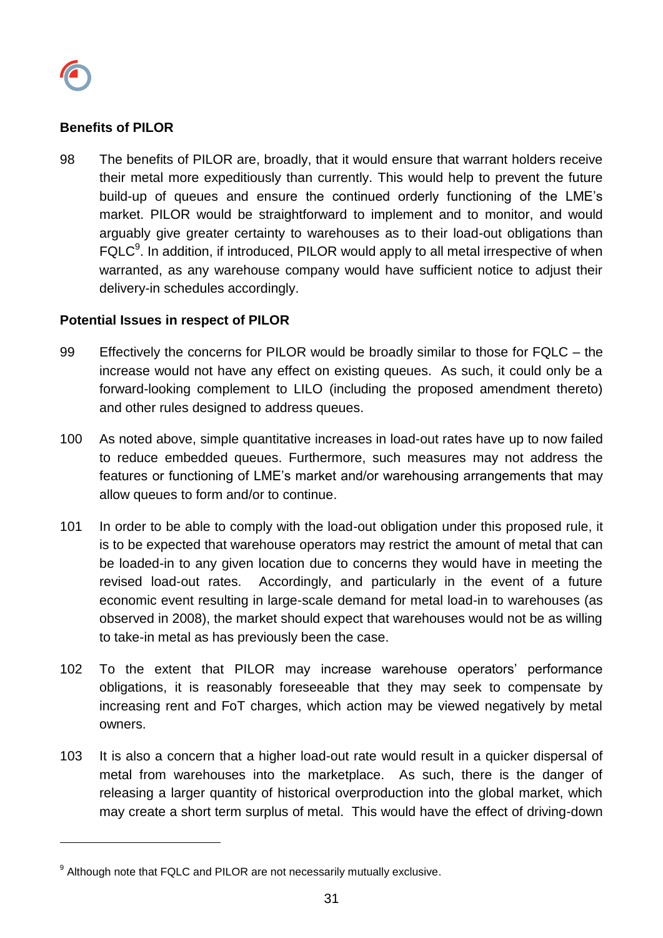

l

#### **Benefits of PILOR**

98 The benefits of PILOR are, broadly, that it would ensure that warrant holders receive their metal more expeditiously than currently. This would help to prevent the future build-up of queues and ensure the continued orderly functioning of the LME's market. PILOR would be straightforward to implement and to monitor, and would arguably give greater certainty to warehouses as to their load-out obligations than FQLC<sup>9</sup>. In addition, if introduced, PILOR would apply to all metal irrespective of when warranted, as any warehouse company would have sufficient notice to adjust their delivery-in schedules accordingly.

#### **Potential Issues in respect of PILOR**

- 99 Effectively the concerns for PILOR would be broadly similar to those for FQLC the increase would not have any effect on existing queues. As such, it could only be a forward-looking complement to LILO (including the proposed amendment thereto) and other rules designed to address queues.
- 100 As noted above, simple quantitative increases in load-out rates have up to now failed to reduce embedded queues. Furthermore, such measures may not address the features or functioning of LME's market and/or warehousing arrangements that may allow queues to form and/or to continue.
- 101 In order to be able to comply with the load-out obligation under this proposed rule, it is to be expected that warehouse operators may restrict the amount of metal that can be loaded-in to any given location due to concerns they would have in meeting the revised load-out rates. Accordingly, and particularly in the event of a future economic event resulting in large-scale demand for metal load-in to warehouses (as observed in 2008), the market should expect that warehouses would not be as willing to take-in metal as has previously been the case.
- 102 To the extent that PILOR may increase warehouse operators' performance obligations, it is reasonably foreseeable that they may seek to compensate by increasing rent and FoT charges, which action may be viewed negatively by metal owners.
- 103 It is also a concern that a higher load-out rate would result in a quicker dispersal of metal from warehouses into the marketplace. As such, there is the danger of releasing a larger quantity of historical overproduction into the global market, which may create a short term surplus of metal. This would have the effect of driving-down

 $^9$  Although note that FQLC and PILOR are not necessarily mutually exclusive.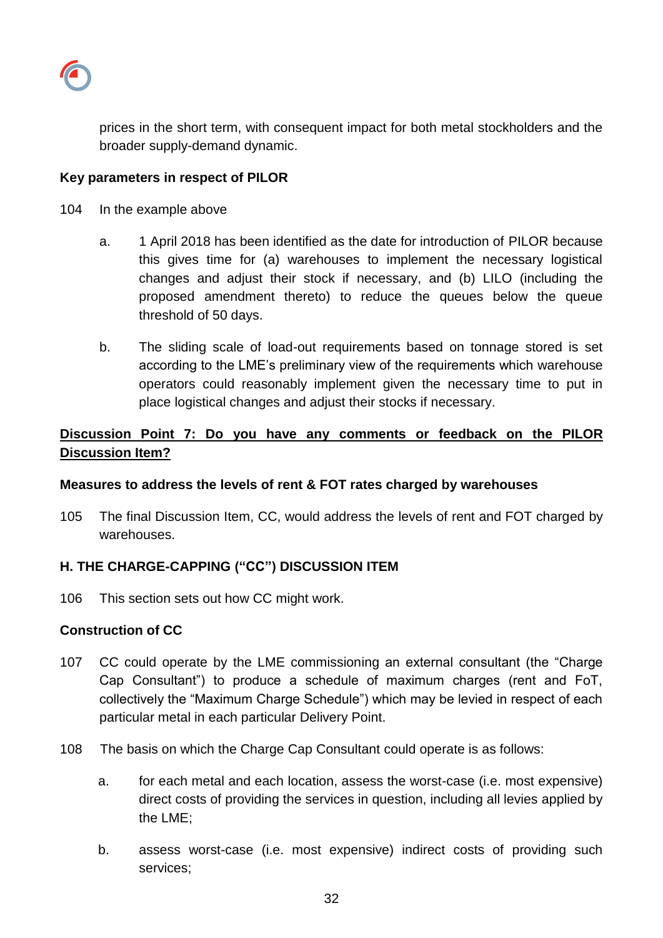

prices in the short term, with consequent impact for both metal stockholders and the broader supply-demand dynamic.

#### **Key parameters in respect of PILOR**

- 104 In the example above
	- a. 1 April 2018 has been identified as the date for introduction of PILOR because this gives time for (a) warehouses to implement the necessary logistical changes and adjust their stock if necessary, and (b) LILO (including the proposed amendment thereto) to reduce the queues below the queue threshold of 50 days.
	- b. The sliding scale of load-out requirements based on tonnage stored is set according to the LME's preliminary view of the requirements which warehouse operators could reasonably implement given the necessary time to put in place logistical changes and adjust their stocks if necessary.

# **Discussion Point 7: Do you have any comments or feedback on the PILOR Discussion Item?**

#### **Measures to address the levels of rent & FOT rates charged by warehouses**

105 The final Discussion Item, CC, would address the levels of rent and FOT charged by warehouses.

## **H. THE CHARGE-CAPPING ("CC") DISCUSSION ITEM**

106 This section sets out how CC might work.

### **Construction of CC**

- 107 CC could operate by the LME commissioning an external consultant (the "Charge Cap Consultant") to produce a schedule of maximum charges (rent and FoT, collectively the "Maximum Charge Schedule") which may be levied in respect of each particular metal in each particular Delivery Point.
- 108 The basis on which the Charge Cap Consultant could operate is as follows:
	- a. for each metal and each location, assess the worst-case (i.e. most expensive) direct costs of providing the services in question, including all levies applied by the LME;
	- b. assess worst-case (i.e. most expensive) indirect costs of providing such services;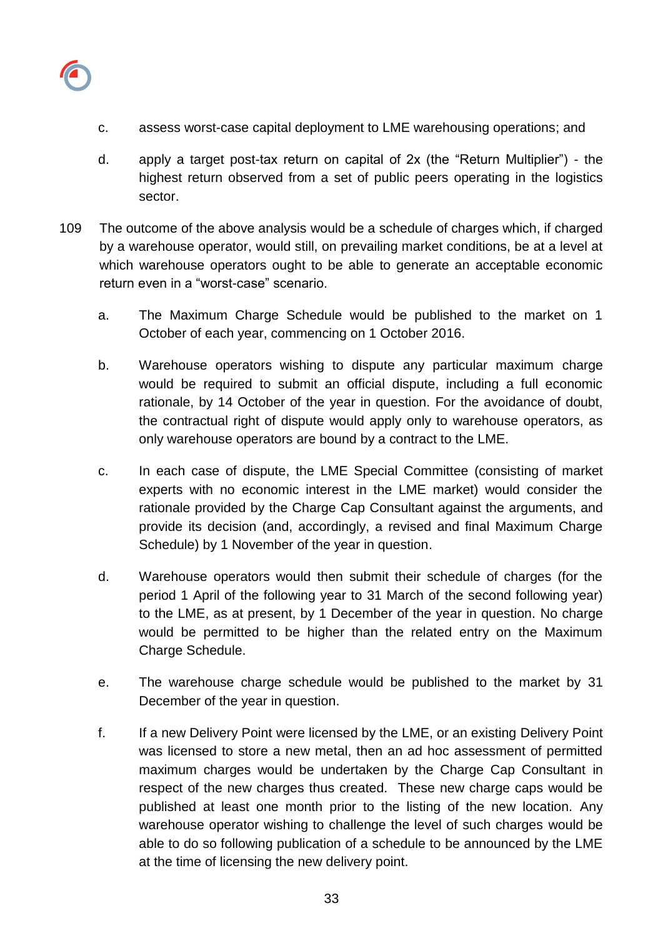

- c. assess worst-case capital deployment to LME warehousing operations; and
- d. apply a target post-tax return on capital of 2x (the "Return Multiplier") the highest return observed from a set of public peers operating in the logistics sector.
- 109 The outcome of the above analysis would be a schedule of charges which, if charged by a warehouse operator, would still, on prevailing market conditions, be at a level at which warehouse operators ought to be able to generate an acceptable economic return even in a "worst-case" scenario.
	- a. The Maximum Charge Schedule would be published to the market on 1 October of each year, commencing on 1 October 2016.
	- b. Warehouse operators wishing to dispute any particular maximum charge would be required to submit an official dispute, including a full economic rationale, by 14 October of the year in question. For the avoidance of doubt, the contractual right of dispute would apply only to warehouse operators, as only warehouse operators are bound by a contract to the LME.
	- c. In each case of dispute, the LME Special Committee (consisting of market experts with no economic interest in the LME market) would consider the rationale provided by the Charge Cap Consultant against the arguments, and provide its decision (and, accordingly, a revised and final Maximum Charge Schedule) by 1 November of the year in question.
	- d. Warehouse operators would then submit their schedule of charges (for the period 1 April of the following year to 31 March of the second following year) to the LME, as at present, by 1 December of the year in question. No charge would be permitted to be higher than the related entry on the Maximum Charge Schedule.
	- e. The warehouse charge schedule would be published to the market by 31 December of the year in question.
	- f. If a new Delivery Point were licensed by the LME, or an existing Delivery Point was licensed to store a new metal, then an ad hoc assessment of permitted maximum charges would be undertaken by the Charge Cap Consultant in respect of the new charges thus created. These new charge caps would be published at least one month prior to the listing of the new location. Any warehouse operator wishing to challenge the level of such charges would be able to do so following publication of a schedule to be announced by the LME at the time of licensing the new delivery point.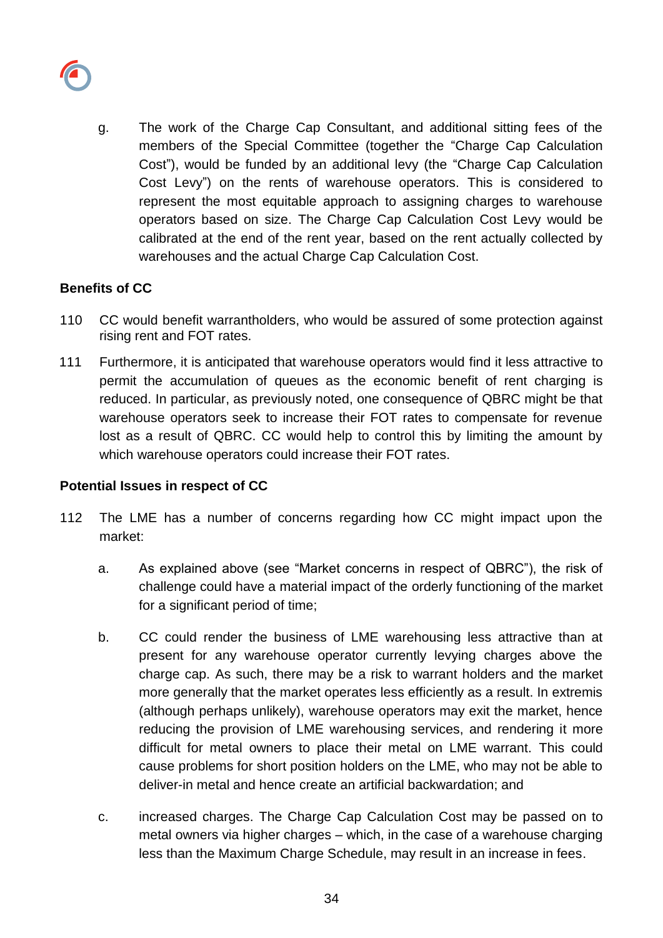

g. The work of the Charge Cap Consultant, and additional sitting fees of the members of the Special Committee (together the "Charge Cap Calculation Cost"), would be funded by an additional levy (the "Charge Cap Calculation Cost Levy") on the rents of warehouse operators. This is considered to represent the most equitable approach to assigning charges to warehouse operators based on size. The Charge Cap Calculation Cost Levy would be calibrated at the end of the rent year, based on the rent actually collected by warehouses and the actual Charge Cap Calculation Cost.

## **Benefits of CC**

- 110 CC would benefit warrantholders, who would be assured of some protection against rising rent and FOT rates.
- 111 Furthermore, it is anticipated that warehouse operators would find it less attractive to permit the accumulation of queues as the economic benefit of rent charging is reduced. In particular, as previously noted, one consequence of QBRC might be that warehouse operators seek to increase their FOT rates to compensate for revenue lost as a result of QBRC. CC would help to control this by limiting the amount by which warehouse operators could increase their FOT rates.

#### **Potential Issues in respect of CC**

- 112 The LME has a number of concerns regarding how CC might impact upon the market:
	- a. As explained above (see "Market concerns in respect of QBRC"), the risk of challenge could have a material impact of the orderly functioning of the market for a significant period of time;
	- b. CC could render the business of LME warehousing less attractive than at present for any warehouse operator currently levying charges above the charge cap. As such, there may be a risk to warrant holders and the market more generally that the market operates less efficiently as a result. In extremis (although perhaps unlikely), warehouse operators may exit the market, hence reducing the provision of LME warehousing services, and rendering it more difficult for metal owners to place their metal on LME warrant. This could cause problems for short position holders on the LME, who may not be able to deliver-in metal and hence create an artificial backwardation; and
	- c. increased charges. The Charge Cap Calculation Cost may be passed on to metal owners via higher charges – which, in the case of a warehouse charging less than the Maximum Charge Schedule, may result in an increase in fees.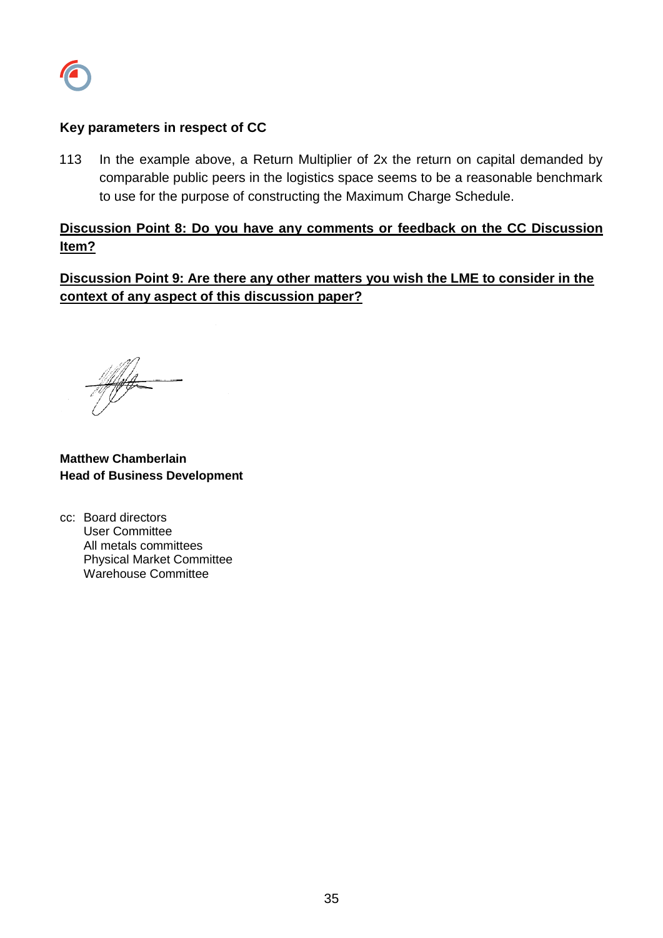

### **Key parameters in respect of CC**

113 In the example above, a Return Multiplier of 2x the return on capital demanded by comparable public peers in the logistics space seems to be a reasonable benchmark to use for the purpose of constructing the Maximum Charge Schedule.

# **Discussion Point 8: Do you have any comments or feedback on the CC Discussion Item?**

**Discussion Point 9: Are there any other matters you wish the LME to consider in the context of any aspect of this discussion paper?**

**Matthew Chamberlain Head of Business Development**

cc: Board directors User Committee All metals committees Physical Market Committee Warehouse Committee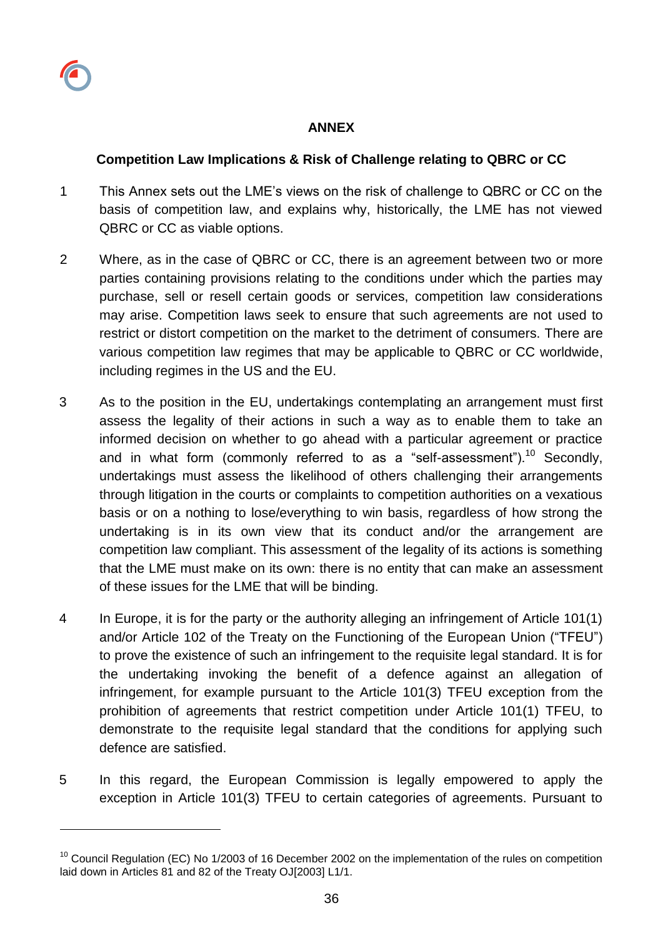l

### **ANNEX**

### **Competition Law Implications & Risk of Challenge relating to QBRC or CC**

- 1 This Annex sets out the LME's views on the risk of challenge to QBRC or CC on the basis of competition law, and explains why, historically, the LME has not viewed QBRC or CC as viable options.
- 2 Where, as in the case of QBRC or CC, there is an agreement between two or more parties containing provisions relating to the conditions under which the parties may purchase, sell or resell certain goods or services, competition law considerations may arise. Competition laws seek to ensure that such agreements are not used to restrict or distort competition on the market to the detriment of consumers. There are various competition law regimes that may be applicable to QBRC or CC worldwide, including regimes in the US and the EU.
- 3 As to the position in the EU, undertakings contemplating an arrangement must first assess the legality of their actions in such a way as to enable them to take an informed decision on whether to go ahead with a particular agreement or practice and in what form (commonly referred to as a "self-assessment").<sup>10</sup> Secondly, undertakings must assess the likelihood of others challenging their arrangements through litigation in the courts or complaints to competition authorities on a vexatious basis or on a nothing to lose/everything to win basis, regardless of how strong the undertaking is in its own view that its conduct and/or the arrangement are competition law compliant. This assessment of the legality of its actions is something that the LME must make on its own: there is no entity that can make an assessment of these issues for the LME that will be binding.
- 4 In Europe, it is for the party or the authority alleging an infringement of Article 101(1) and/or Article 102 of the Treaty on the Functioning of the European Union ("TFEU") to prove the existence of such an infringement to the requisite legal standard. It is for the undertaking invoking the benefit of a defence against an allegation of infringement, for example pursuant to the Article 101(3) TFEU exception from the prohibition of agreements that restrict competition under Article 101(1) TFEU, to demonstrate to the requisite legal standard that the conditions for applying such defence are satisfied.
- 5 In this regard, the European Commission is legally empowered to apply the exception in Article 101(3) TFEU to certain categories of agreements. Pursuant to

 $10$  Council Regulation (EC) No 1/2003 of 16 December 2002 on the implementation of the rules on competition laid down in Articles 81 and 82 of the Treaty OJ[2003] L1/1.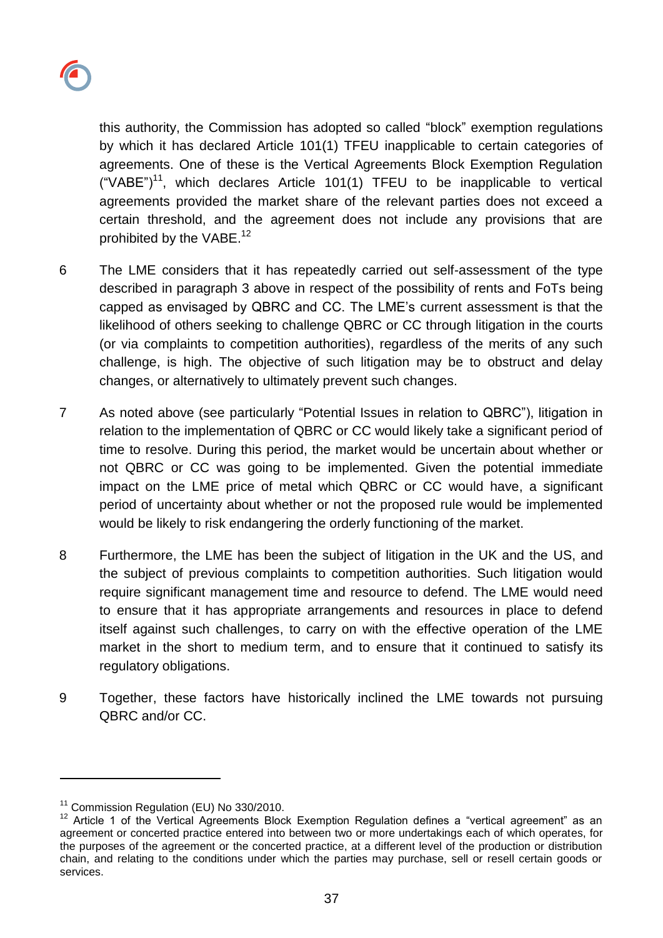

this authority, the Commission has adopted so called "block" exemption regulations by which it has declared Article 101(1) TFEU inapplicable to certain categories of agreements. One of these is the Vertical Agreements Block Exemption Regulation ("VABE")<sup>11</sup>, which declares Article 101(1) TFEU to be inapplicable to vertical agreements provided the market share of the relevant parties does not exceed a certain threshold, and the agreement does not include any provisions that are prohibited by the VABE.<sup>12</sup>

- 6 The LME considers that it has repeatedly carried out self-assessment of the type described in paragraph 3 above in respect of the possibility of rents and FoTs being capped as envisaged by QBRC and CC. The LME's current assessment is that the likelihood of others seeking to challenge QBRC or CC through litigation in the courts (or via complaints to competition authorities), regardless of the merits of any such challenge, is high. The objective of such litigation may be to obstruct and delay changes, or alternatively to ultimately prevent such changes.
- 7 As noted above (see particularly "Potential Issues in relation to QBRC"), litigation in relation to the implementation of QBRC or CC would likely take a significant period of time to resolve. During this period, the market would be uncertain about whether or not QBRC or CC was going to be implemented. Given the potential immediate impact on the LME price of metal which QBRC or CC would have, a significant period of uncertainty about whether or not the proposed rule would be implemented would be likely to risk endangering the orderly functioning of the market.
- 8 Furthermore, the LME has been the subject of litigation in the UK and the US, and the subject of previous complaints to competition authorities. Such litigation would require significant management time and resource to defend. The LME would need to ensure that it has appropriate arrangements and resources in place to defend itself against such challenges, to carry on with the effective operation of the LME market in the short to medium term, and to ensure that it continued to satisfy its regulatory obligations.
- 9 Together, these factors have historically inclined the LME towards not pursuing QBRC and/or CC.

l

<sup>&</sup>lt;sup>11</sup> Commission Regulation (EU) No 330/2010.

<sup>12</sup> Article 1 of the Vertical Agreements Block Exemption Regulation defines a "vertical agreement" as an agreement or concerted practice entered into between two or more undertakings each of which operates, for the purposes of the agreement or the concerted practice, at a different level of the production or distribution chain, and relating to the conditions under which the parties may purchase, sell or resell certain goods or services.